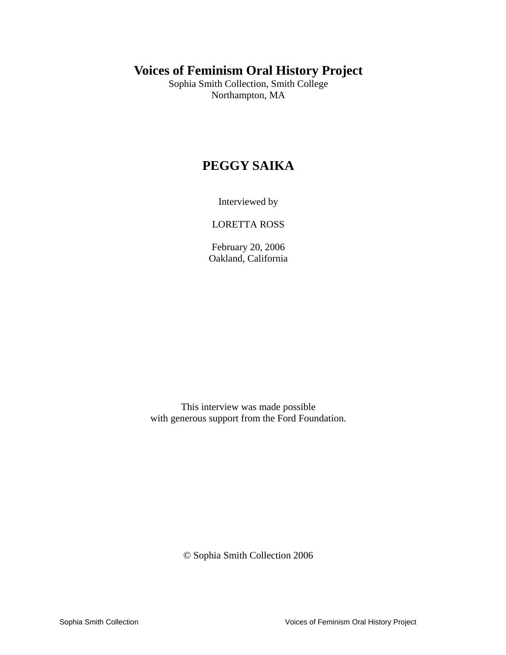# **Voices of Feminism Oral History Project**

Sophia Smith Collection, Smith College Northampton, MA

# **PEGGY SAIKA**

Interviewed by

LORETTA ROSS

February 20, 2006 Oakland, California

This interview was made possible with generous support from the Ford Foundation.

© Sophia Smith Collection 2006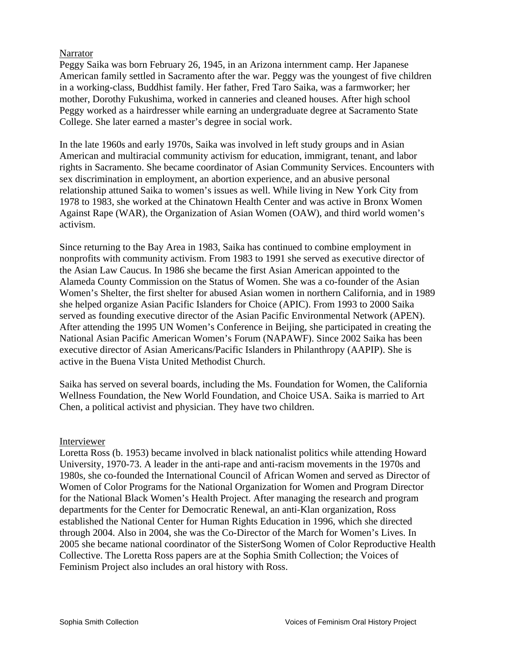## Narrator

Peggy Saika was born February 26, 1945, in an Arizona internment camp. Her Japanese American family settled in Sacramento after the war. Peggy was the youngest of five children in a working-class, Buddhist family. Her father, Fred Taro Saika, was a farmworker; her mother, Dorothy Fukushima, worked in canneries and cleaned houses. After high school Peggy worked as a hairdresser while earning an undergraduate degree at Sacramento State College. She later earned a master's degree in social work.

In the late 1960s and early 1970s, Saika was involved in left study groups and in Asian American and multiracial community activism for education, immigrant, tenant, and labor rights in Sacramento. She became coordinator of Asian Community Services. Encounters with sex discrimination in employment, an abortion experience, and an abusive personal relationship attuned Saika to women's issues as well. While living in New York City from 1978 to 1983, she worked at the Chinatown Health Center and was active in Bronx Women Against Rape (WAR), the Organization of Asian Women (OAW), and third world women's activism.

Since returning to the Bay Area in 1983, Saika has continued to combine employment in nonprofits with community activism. From 1983 to 1991 she served as executive director of the Asian Law Caucus. In 1986 she became the first Asian American appointed to the Alameda County Commission on the Status of Women. She was a co-founder of the Asian Women's Shelter, the first shelter for abused Asian women in northern California, and in 1989 she helped organize Asian Pacific Islanders for Choice (APIC). From 1993 to 2000 Saika served as founding executive director of the Asian Pacific Environmental Network (APEN). After attending the 1995 UN Women's Conference in Beijing, she participated in creating the National Asian Pacific American Women's Forum (NAPAWF). Since 2002 Saika has been executive director of Asian Americans/Pacific Islanders in Philanthropy (AAPIP). She is active in the Buena Vista United Methodist Church.

Saika has served on several boards, including the Ms. Foundation for Women, the California Wellness Foundation, the New World Foundation, and Choice USA. Saika is married to Art Chen, a political activist and physician. They have two children.

### Interviewer

Loretta Ross (b. 1953) became involved in black nationalist politics while attending Howard University, 1970-73. A leader in the anti-rape and anti-racism movements in the 1970s and 1980s, she co-founded the International Council of African Women and served as Director of Women of Color Programs for the National Organization for Women and Program Director for the National Black Women's Health Project. After managing the research and program departments for the Center for Democratic Renewal, an anti-Klan organization, Ross established the National Center for Human Rights Education in 1996, which she directed through 2004. Also in 2004, she was the Co-Director of the March for Women's Lives. In 2005 she became national coordinator of the SisterSong Women of Color Reproductive Health Collective. The Loretta Ross papers are at the Sophia Smith Collection; the Voices of Feminism Project also includes an oral history with Ross.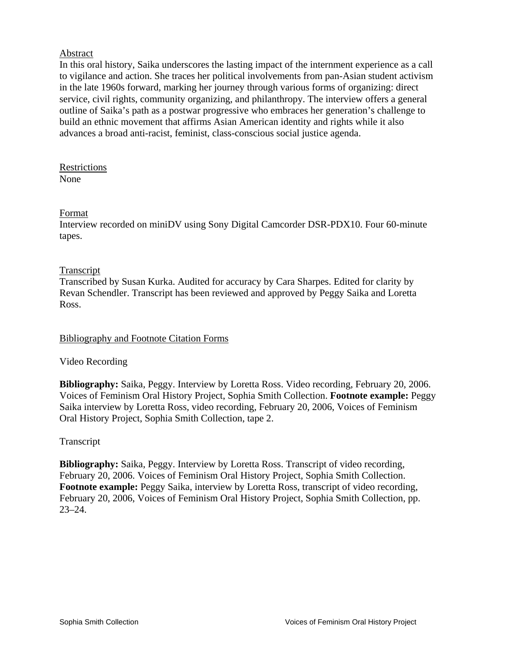## Abstract

In this oral history, Saika underscores the lasting impact of the internment experience as a call to vigilance and action. She traces her political involvements from pan-Asian student activism in the late 1960s forward, marking her journey through various forms of organizing: direct service, civil rights, community organizing, and philanthropy. The interview offers a general outline of Saika's path as a postwar progressive who embraces her generation's challenge to build an ethnic movement that affirms Asian American identity and rights while it also advances a broad anti-racist, feminist, class-conscious social justice agenda.

Restrictions None

### Format

Interview recorded on miniDV using Sony Digital Camcorder DSR-PDX10. Four 60-minute tapes.

### Transcript

Transcribed by Susan Kurka. Audited for accuracy by Cara Sharpes. Edited for clarity by Revan Schendler. Transcript has been reviewed and approved by Peggy Saika and Loretta Ross.

## Bibliography and Footnote Citation Forms

## Video Recording

**Bibliography:** Saika, Peggy. Interview by Loretta Ross. Video recording, February 20, 2006. Voices of Feminism Oral History Project, Sophia Smith Collection. **Footnote example:** Peggy Saika interview by Loretta Ross, video recording, February 20, 2006, Voices of Feminism Oral History Project, Sophia Smith Collection, tape 2.

## Transcript

**Bibliography:** Saika, Peggy. Interview by Loretta Ross. Transcript of video recording, February 20, 2006. Voices of Feminism Oral History Project, Sophia Smith Collection. **Footnote example:** Peggy Saika, interview by Loretta Ross, transcript of video recording, February 20, 2006, Voices of Feminism Oral History Project, Sophia Smith Collection, pp. 23–24.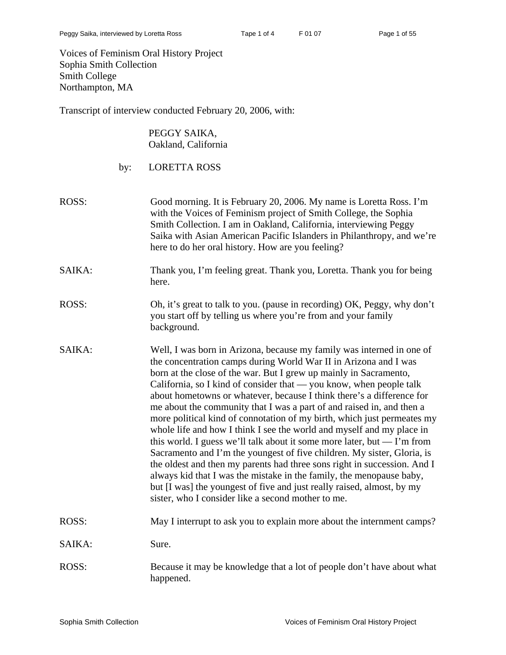Voices of Feminism Oral History Project Sophia Smith Collection Smith College Northampton, MA

Transcript of interview conducted February 20, 2006, with:

PEGGY SAIKA, Oakland, California

| <b>LORETTA ROSS</b><br>by: |  |
|----------------------------|--|
|----------------------------|--|

- ROSS: Good morning. It is February 20, 2006. My name is Loretta Ross. I'm with the Voices of Feminism project of Smith College, the Sophia Smith Collection. I am in Oakland, California, interviewing Peggy Saika with Asian American Pacific Islanders in Philanthropy, and we're here to do her oral history. How are you feeling?
- SAIKA: Thank you, I'm feeling great. Thank you, Loretta. Thank you for being here.
- ROSS: Oh, it's great to talk to you. (pause in recording) OK, Peggy, why don't you start off by telling us where you're from and your family background.
- SAIKA: Well, I was born in Arizona, because my family was interned in one of the concentration camps during World War II in Arizona and I was born at the close of the war. But I grew up mainly in Sacramento, California, so I kind of consider that — you know, when people talk about hometowns or whatever, because I think there's a difference for me about the community that I was a part of and raised in, and then a more political kind of connotation of my birth, which just permeates my whole life and how I think I see the world and myself and my place in this world. I guess we'll talk about it some more later, but  $-$  I'm from Sacramento and I'm the youngest of five children. My sister, Gloria, is the oldest and then my parents had three sons right in succession. And I always kid that I was the mistake in the family, the menopause baby, but [I was] the youngest of five and just really raised, almost, by my sister, who I consider like a second mother to me.

## ROSS: May I interrupt to ask you to explain more about the internment camps?

- SAIKA: Sure.
- ROSS: Because it may be knowledge that a lot of people don't have about what happened.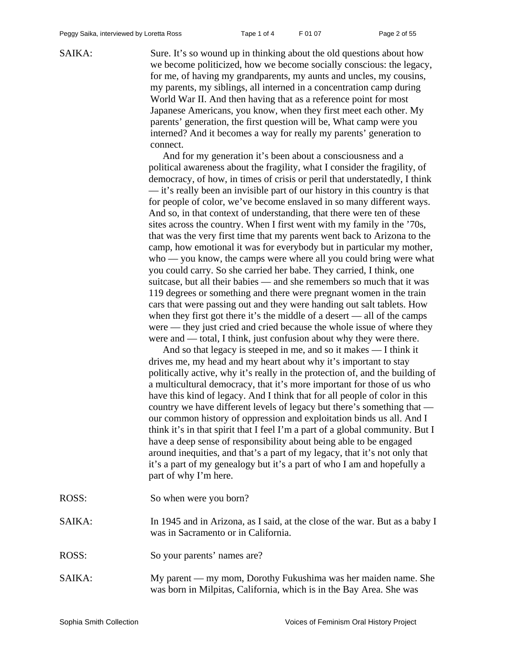SAIKA: Sure. It's so wound up in thinking about the old questions about how we become politicized, how we become socially conscious: the legacy, for me, of having my grandparents, my aunts and uncles, my cousins, my parents, my siblings, all interned in a concentration camp during World War II. And then having that as a reference point for most Japanese Americans, you know, when they first meet each other. My parents' generation, the first question will be, What camp were you interned? And it becomes a way for really my parents' generation to connect.

> And for my generation it's been about a consciousness and a political awareness about the fragility, what I consider the fragility, of democracy, of how, in times of crisis or peril that understatedly, I think — it's really been an invisible part of our history in this country is that for people of color, we've become enslaved in so many different ways. And so, in that context of understanding, that there were ten of these sites across the country. When I first went with my family in the '70s, that was the very first time that my parents went back to Arizona to the camp, how emotional it was for everybody but in particular my mother, who — you know, the camps were where all you could bring were what you could carry. So she carried her babe. They carried, I think, one suitcase, but all their babies — and she remembers so much that it was 119 degrees or something and there were pregnant women in the train cars that were passing out and they were handing out salt tablets. How when they first got there it's the middle of a desert — all of the camps were — they just cried and cried because the whole issue of where they were and — total, I think, just confusion about why they were there.

> And so that legacy is steeped in me, and so it makes — I think it drives me, my head and my heart about why it's important to stay politically active, why it's really in the protection of, and the building of a multicultural democracy, that it's more important for those of us who have this kind of legacy. And I think that for all people of color in this country we have different levels of legacy but there's something that our common history of oppression and exploitation binds us all. And I think it's in that spirit that I feel I'm a part of a global community. But I have a deep sense of responsibility about being able to be engaged around inequities, and that's a part of my legacy, that it's not only that it's a part of my genealogy but it's a part of who I am and hopefully a part of why I'm here.

|  | So when were you born? |
|--|------------------------|

- SAIKA: In 1945 and in Arizona, as I said, at the close of the war. But as a baby I was in Sacramento or in California.
- ROSS: So your parents' names are?
- SAIKA: My parent my mom, Dorothy Fukushima was her maiden name. She was born in Milpitas, California, which is in the Bay Area. She was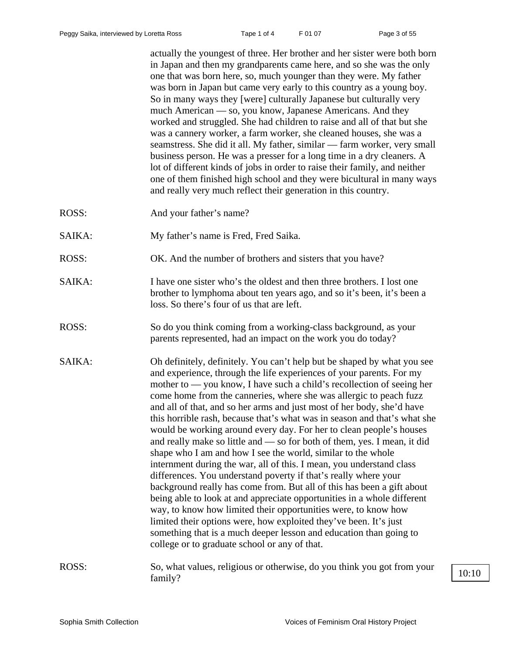actually the youngest of three. Her brother and her sister were both born in Japan and then my grandparents came here, and so she was the only one that was born here, so, much younger than they were. My father was born in Japan but came very early to this country as a young boy. So in many ways they [were] culturally Japanese but culturally very much American — so, you know, Japanese Americans. And they worked and struggled. She had children to raise and all of that but she was a cannery worker, a farm worker, she cleaned houses, she was a seamstress. She did it all. My father, similar — farm worker, very small business person. He was a presser for a long time in a dry cleaners. A lot of different kinds of jobs in order to raise their family, and neither one of them finished high school and they were bicultural in many ways and really very much reflect their generation in this country.

- ROSS: And your father's name?
- SAIKA: My father's name is Fred, Fred Saika.
- ROSS: OK. And the number of brothers and sisters that you have?
- SAIKA: I have one sister who's the oldest and then three brothers. I lost one brother to lymphoma about ten years ago, and so it's been, it's been a loss. So there's four of us that are left.
- ROSS: So do you think coming from a working-class background, as your parents represented, had an impact on the work you do today?
- SAIKA: Oh definitely, definitely. You can't help but be shaped by what you see and experience, through the life experiences of your parents. For my mother to — you know, I have such a child's recollection of seeing her come home from the canneries, where she was allergic to peach fuzz and all of that, and so her arms and just most of her body, she'd have this horrible rash, because that's what was in season and that's what she would be working around every day. For her to clean people's houses and really make so little and — so for both of them, yes. I mean, it did shape who I am and how I see the world, similar to the whole internment during the war, all of this. I mean, you understand class differences. You understand poverty if that's really where your background really has come from. But all of this has been a gift about being able to look at and appreciate opportunities in a whole different way, to know how limited their opportunities were, to know how limited their options were, how exploited they've been. It's just something that is a much deeper lesson and education than going to college or to graduate school or any of that.
- ROSS: So, what values, religious or otherwise, do you think you got from your  $f_{\text{amily}}$ ?  $\frac{10:10}{2}$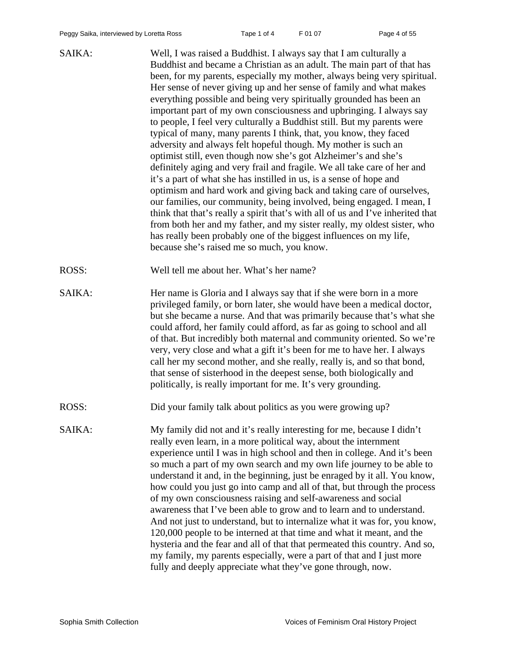SAIKA: Well, I was raised a Buddhist. I always say that I am culturally a Buddhist and became a Christian as an adult. The main part of that has been, for my parents, especially my mother, always being very spiritual. Her sense of never giving up and her sense of family and what makes everything possible and being very spiritually grounded has been an important part of my own consciousness and upbringing. I always say to people, I feel very culturally a Buddhist still. But my parents were typical of many, many parents I think, that, you know, they faced adversity and always felt hopeful though. My mother is such an optimist still, even though now she's got Alzheimer's and she's definitely aging and very frail and fragile. We all take care of her and it's a part of what she has instilled in us, is a sense of hope and optimism and hard work and giving back and taking care of ourselves, our families, our community, being involved, being engaged. I mean, I think that that's really a spirit that's with all of us and I've inherited that from both her and my father, and my sister really, my oldest sister, who has really been probably one of the biggest influences on my life, because she's raised me so much, you know. ROSS: Well tell me about her. What's her name? SAIKA: Her name is Gloria and I always say that if she were born in a more privileged family, or born later, she would have been a medical doctor, but she became a nurse. And that was primarily because that's what she could afford, her family could afford, as far as going to school and all of that. But incredibly both maternal and community oriented. So we're very, very close and what a gift it's been for me to have her. I always call her my second mother, and she really, really is, and so that bond, that sense of sisterhood in the deepest sense, both biologically and politically, is really important for me. It's very grounding. ROSS: Did your family talk about politics as you were growing up? SAIKA: My family did not and it's really interesting for me, because I didn't really even learn, in a more political way, about the internment

experience until I was in high school and then in college. And it's been so much a part of my own search and my own life journey to be able to understand it and, in the beginning, just be enraged by it all. You know, how could you just go into camp and all of that, but through the process of my own consciousness raising and self-awareness and social awareness that I've been able to grow and to learn and to understand. And not just to understand, but to internalize what it was for, you know, 120,000 people to be interned at that time and what it meant, and the hysteria and the fear and all of that that permeated this country. And so, my family, my parents especially, were a part of that and I just more fully and deeply appreciate what they've gone through, now.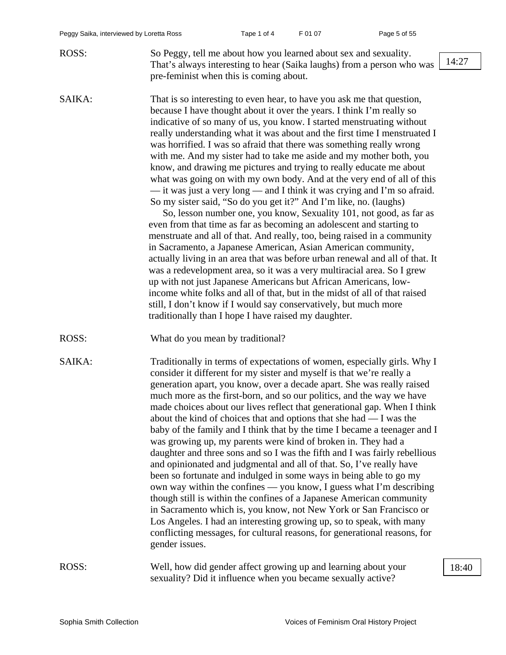| ROSS:  | So Peggy, tell me about how you learned about sex and sexuality.<br>That's always interesting to hear (Saika laughs) from a person who was<br>pre-feminist when this is coming about.                                                                                                                                                                                                                                                                                                                                                                                                                                                                                                                                                                                                                                                                                                                                                                                                                                                                                                                                                                                                                                                                                                                                                                                                                                                                                                     | 14:27 |
|--------|-------------------------------------------------------------------------------------------------------------------------------------------------------------------------------------------------------------------------------------------------------------------------------------------------------------------------------------------------------------------------------------------------------------------------------------------------------------------------------------------------------------------------------------------------------------------------------------------------------------------------------------------------------------------------------------------------------------------------------------------------------------------------------------------------------------------------------------------------------------------------------------------------------------------------------------------------------------------------------------------------------------------------------------------------------------------------------------------------------------------------------------------------------------------------------------------------------------------------------------------------------------------------------------------------------------------------------------------------------------------------------------------------------------------------------------------------------------------------------------------|-------|
| SAIKA: | That is so interesting to even hear, to have you ask me that question,<br>because I have thought about it over the years. I think I'm really so<br>indicative of so many of us, you know. I started menstruating without<br>really understanding what it was about and the first time I menstruated I<br>was horrified. I was so afraid that there was something really wrong<br>with me. And my sister had to take me aside and my mother both, you<br>know, and drawing me pictures and trying to really educate me about<br>what was going on with my own body. And at the very end of all of this<br>— it was just a very long — and I think it was crying and I'm so afraid.<br>So my sister said, "So do you get it?" And I'm like, no. (laughs)<br>So, lesson number one, you know, Sexuality 101, not good, as far as<br>even from that time as far as becoming an adolescent and starting to<br>menstruate and all of that. And really, too, being raised in a community<br>in Sacramento, a Japanese American, Asian American community,<br>actually living in an area that was before urban renewal and all of that. It<br>was a redevelopment area, so it was a very multiracial area. So I grew<br>up with not just Japanese Americans but African Americans, low-<br>income white folks and all of that, but in the midst of all of that raised<br>still, I don't know if I would say conservatively, but much more<br>traditionally than I hope I have raised my daughter. |       |
| ROSS:  | What do you mean by traditional?                                                                                                                                                                                                                                                                                                                                                                                                                                                                                                                                                                                                                                                                                                                                                                                                                                                                                                                                                                                                                                                                                                                                                                                                                                                                                                                                                                                                                                                          |       |
| SAIKA: | Traditionally in terms of expectations of women, especially girls. Why I<br>consider it different for my sister and myself is that we're really a<br>generation apart, you know, over a decade apart. She was really raised<br>much more as the first-born, and so our politics, and the way we have<br>made choices about our lives reflect that generational gap. When I think<br>about the kind of choices that and options that she had $- I$ was the<br>baby of the family and I think that by the time I became a teenager and I<br>was growing up, my parents were kind of broken in. They had a<br>daughter and three sons and so I was the fifth and I was fairly rebellious<br>and opinionated and judgmental and all of that. So, I've really have<br>been so fortunate and indulged in some ways in being able to go my<br>own way within the confines — you know, I guess what I'm describing<br>though still is within the confines of a Japanese American community<br>in Sacramento which is, you know, not New York or San Francisco or<br>Los Angeles. I had an interesting growing up, so to speak, with many<br>conflicting messages, for cultural reasons, for generational reasons, for<br>gender issues.                                                                                                                                                                                                                                                           |       |
| ROSS:  | Well, how did gender affect growing up and learning about your<br>sexuality? Did it influence when you became sexually active?                                                                                                                                                                                                                                                                                                                                                                                                                                                                                                                                                                                                                                                                                                                                                                                                                                                                                                                                                                                                                                                                                                                                                                                                                                                                                                                                                            | 18:40 |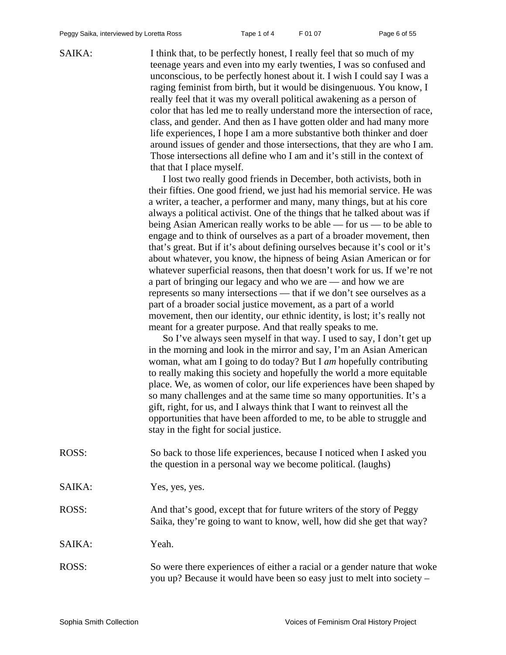SAIKA: I think that, to be perfectly honest, I really feel that so much of my teenage years and even into my early twenties, I was so confused and unconscious, to be perfectly honest about it. I wish I could say I was a raging feminist from birth, but it would be disingenuous. You know, I really feel that it was my overall political awakening as a person of color that has led me to really understand more the intersection of race, class, and gender. And then as I have gotten older and had many more life experiences, I hope I am a more substantive both thinker and doer around issues of gender and those intersections, that they are who I am. Those intersections all define who I am and it's still in the context of that that I place myself.

> I lost two really good friends in December, both activists, both in their fifties. One good friend, we just had his memorial service. He was a writer, a teacher, a performer and many, many things, but at his core always a political activist. One of the things that he talked about was if being Asian American really works to be able — for us — to be able to engage and to think of ourselves as a part of a broader movement, then that's great. But if it's about defining ourselves because it's cool or it's about whatever, you know, the hipness of being Asian American or for whatever superficial reasons, then that doesn't work for us. If we're not a part of bringing our legacy and who we are — and how we are represents so many intersections — that if we don't see ourselves as a part of a broader social justice movement, as a part of a world movement, then our identity, our ethnic identity, is lost; it's really not meant for a greater purpose. And that really speaks to me.

> So I've always seen myself in that way. I used to say, I don't get up in the morning and look in the mirror and say, I'm an Asian American woman, what am I going to do today? But I *am* hopefully contributing to really making this society and hopefully the world a more equitable place. We, as women of color, our life experiences have been shaped by so many challenges and at the same time so many opportunities. It's a gift, right, for us, and I always think that I want to reinvest all the opportunities that have been afforded to me, to be able to struggle and stay in the fight for social justice.

| ROSS:  | So back to those life experiences, because I noticed when I asked you<br>the question in a personal way we become political. (laughs)               |
|--------|-----------------------------------------------------------------------------------------------------------------------------------------------------|
| SAIKA: | Yes, yes, yes.                                                                                                                                      |
| ROSS:  | And that's good, except that for future writers of the story of Peggy<br>Saika, they're going to want to know, well, how did she get that way?      |
| SAIKA: | Yeah.                                                                                                                                               |
| ROSS:  | So were there experiences of either a racial or a gender nature that woke<br>you up? Because it would have been so easy just to melt into society – |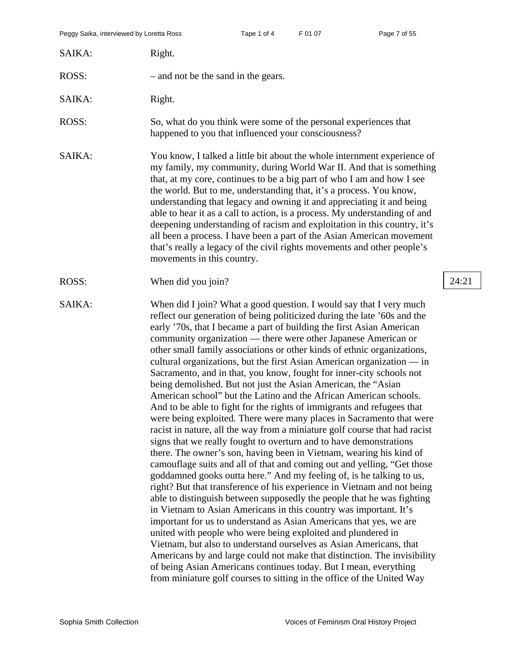| SAIKA: | Right.                                                                                                                                                                                                                                                                                                                                                                                                                                                                                                                                                                                                                                                                                                                                                                                                                                                                                                                                                                                                                                                                                                                                                                                                                                                                                                                                                                                                                                                                                                                                                                                                                                                                                                                                                                                                                                                          |       |
|--------|-----------------------------------------------------------------------------------------------------------------------------------------------------------------------------------------------------------------------------------------------------------------------------------------------------------------------------------------------------------------------------------------------------------------------------------------------------------------------------------------------------------------------------------------------------------------------------------------------------------------------------------------------------------------------------------------------------------------------------------------------------------------------------------------------------------------------------------------------------------------------------------------------------------------------------------------------------------------------------------------------------------------------------------------------------------------------------------------------------------------------------------------------------------------------------------------------------------------------------------------------------------------------------------------------------------------------------------------------------------------------------------------------------------------------------------------------------------------------------------------------------------------------------------------------------------------------------------------------------------------------------------------------------------------------------------------------------------------------------------------------------------------------------------------------------------------------------------------------------------------|-------|
| ROSS:  | - and not be the sand in the gears.                                                                                                                                                                                                                                                                                                                                                                                                                                                                                                                                                                                                                                                                                                                                                                                                                                                                                                                                                                                                                                                                                                                                                                                                                                                                                                                                                                                                                                                                                                                                                                                                                                                                                                                                                                                                                             |       |
| SAIKA: | Right.                                                                                                                                                                                                                                                                                                                                                                                                                                                                                                                                                                                                                                                                                                                                                                                                                                                                                                                                                                                                                                                                                                                                                                                                                                                                                                                                                                                                                                                                                                                                                                                                                                                                                                                                                                                                                                                          |       |
| ROSS:  | So, what do you think were some of the personal experiences that<br>happened to you that influenced your consciousness?                                                                                                                                                                                                                                                                                                                                                                                                                                                                                                                                                                                                                                                                                                                                                                                                                                                                                                                                                                                                                                                                                                                                                                                                                                                                                                                                                                                                                                                                                                                                                                                                                                                                                                                                         |       |
| SAIKA: | You know, I talked a little bit about the whole internment experience of<br>my family, my community, during World War II. And that is something<br>that, at my core, continues to be a big part of who I am and how I see<br>the world. But to me, understanding that, it's a process. You know,<br>understanding that legacy and owning it and appreciating it and being<br>able to hear it as a call to action, is a process. My understanding of and<br>deepening understanding of racism and exploitation in this country, it's<br>all been a process. I have been a part of the Asian American movement<br>that's really a legacy of the civil rights movements and other people's<br>movements in this country.                                                                                                                                                                                                                                                                                                                                                                                                                                                                                                                                                                                                                                                                                                                                                                                                                                                                                                                                                                                                                                                                                                                                           |       |
| ROSS:  | When did you join?                                                                                                                                                                                                                                                                                                                                                                                                                                                                                                                                                                                                                                                                                                                                                                                                                                                                                                                                                                                                                                                                                                                                                                                                                                                                                                                                                                                                                                                                                                                                                                                                                                                                                                                                                                                                                                              | 24:21 |
| SAIKA: | When did I join? What a good question. I would say that I very much<br>reflect our generation of being politicized during the late '60s and the<br>early '70s, that I became a part of building the first Asian American<br>community organization — there were other Japanese American or<br>other small family associations or other kinds of ethnic organizations,<br>cultural organizations, but the first Asian American organization $-$ in<br>Sacramento, and in that, you know, fought for inner-city schools not<br>being demolished. But not just the Asian American, the "Asian<br>American school" but the Latino and the African American schools.<br>And to be able to fight for the rights of immigrants and refugees that<br>were being exploited. There were many places in Sacramento that were<br>racist in nature, all the way from a miniature golf course that had racist<br>signs that we really fought to overturn and to have demonstrations<br>there. The owner's son, having been in Vietnam, wearing his kind of<br>camouflage suits and all of that and coming out and yelling, "Get those<br>goddamned gooks outta here." And my feeling of, is he talking to us,<br>right? But that transference of his experience in Vietnam and not being<br>able to distinguish between supposedly the people that he was fighting<br>in Vietnam to Asian Americans in this country was important. It's<br>important for us to understand as Asian Americans that yes, we are<br>united with people who were being exploited and plundered in<br>Vietnam, but also to understand ourselves as Asian Americans, that<br>Americans by and large could not make that distinction. The invisibility<br>of being Asian Americans continues today. But I mean, everything<br>from miniature golf courses to sitting in the office of the United Way |       |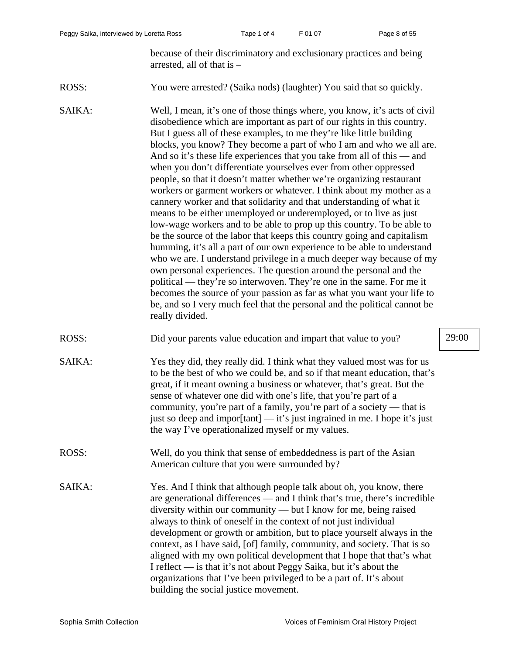because of their discriminatory and exclusionary practices and being arrested, all of that is –

- ROSS: You were arrested? (Saika nods) (laughter) You said that so quickly.
- SAIKA: Well, I mean, it's one of those things where, you know, it's acts of civil disobedience which are important as part of our rights in this country. But I guess all of these examples, to me they're like little building blocks, you know? They become a part of who I am and who we all are. And so it's these life experiences that you take from all of this — and when you don't differentiate yourselves ever from other oppressed people, so that it doesn't matter whether we're organizing restaurant workers or garment workers or whatever. I think about my mother as a cannery worker and that solidarity and that understanding of what it means to be either unemployed or underemployed, or to live as just low-wage workers and to be able to prop up this country. To be able to be the source of the labor that keeps this country going and capitalism humming, it's all a part of our own experience to be able to understand who we are. I understand privilege in a much deeper way because of my own personal experiences. The question around the personal and the political — they're so interwoven. They're one in the same. For me it becomes the source of your passion as far as what you want your life to be, and so I very much feel that the personal and the political cannot be really divided.
- ROSS: Did your parents value education and impart that value to you? 29:00
- SAIKA: Yes they did, they really did. I think what they valued most was for us to be the best of who we could be, and so if that meant education, that's great, if it meant owning a business or whatever, that's great. But the sense of whatever one did with one's life, that you're part of a community, you're part of a family, you're part of a society — that is just so deep and impor[tant] — it's just ingrained in me. I hope it's just the way I've operationalized myself or my values.
- ROSS: Well, do you think that sense of embeddedness is part of the Asian American culture that you were surrounded by?
- SAIKA: Yes. And I think that although people talk about oh, you know, there are generational differences — and I think that's true, there's incredible diversity within our community — but I know for me, being raised always to think of oneself in the context of not just individual development or growth or ambition, but to place yourself always in the context, as I have said, [of] family, community, and society. That is so aligned with my own political development that I hope that that's what I reflect — is that it's not about Peggy Saika, but it's about the organizations that I've been privileged to be a part of. It's about building the social justice movement.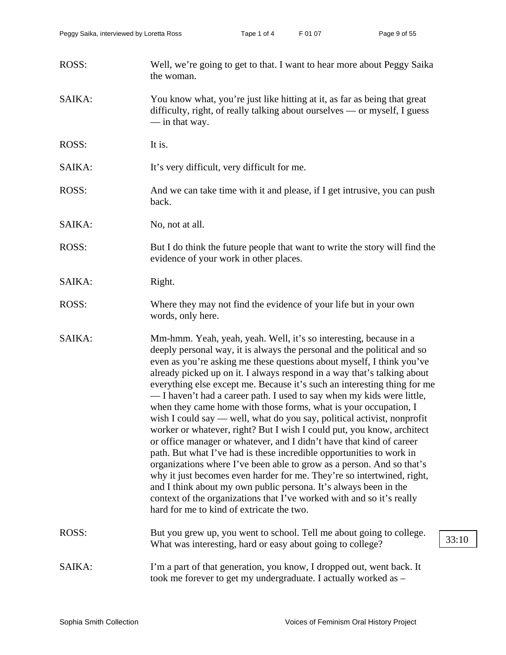| ROSS:  | Well, we're going to get to that. I want to hear more about Peggy Saika<br>the woman.                                                                                                                                                                                                                                                                                                                                                                                                                                                                                                                                                                                                                                                                                                                                                                                                                                                                                                                                                                                                                                                                                        |
|--------|------------------------------------------------------------------------------------------------------------------------------------------------------------------------------------------------------------------------------------------------------------------------------------------------------------------------------------------------------------------------------------------------------------------------------------------------------------------------------------------------------------------------------------------------------------------------------------------------------------------------------------------------------------------------------------------------------------------------------------------------------------------------------------------------------------------------------------------------------------------------------------------------------------------------------------------------------------------------------------------------------------------------------------------------------------------------------------------------------------------------------------------------------------------------------|
| SAIKA: | You know what, you're just like hitting at it, as far as being that great<br>difficulty, right, of really talking about ourselves — or myself, I guess<br>$-$ in that way.                                                                                                                                                                                                                                                                                                                                                                                                                                                                                                                                                                                                                                                                                                                                                                                                                                                                                                                                                                                                   |
| ROSS:  | It is.                                                                                                                                                                                                                                                                                                                                                                                                                                                                                                                                                                                                                                                                                                                                                                                                                                                                                                                                                                                                                                                                                                                                                                       |
| SAIKA: | It's very difficult, very difficult for me.                                                                                                                                                                                                                                                                                                                                                                                                                                                                                                                                                                                                                                                                                                                                                                                                                                                                                                                                                                                                                                                                                                                                  |
| ROSS:  | And we can take time with it and please, if I get intrusive, you can push<br>back.                                                                                                                                                                                                                                                                                                                                                                                                                                                                                                                                                                                                                                                                                                                                                                                                                                                                                                                                                                                                                                                                                           |
| SAIKA: | No, not at all.                                                                                                                                                                                                                                                                                                                                                                                                                                                                                                                                                                                                                                                                                                                                                                                                                                                                                                                                                                                                                                                                                                                                                              |
| ROSS:  | But I do think the future people that want to write the story will find the<br>evidence of your work in other places.                                                                                                                                                                                                                                                                                                                                                                                                                                                                                                                                                                                                                                                                                                                                                                                                                                                                                                                                                                                                                                                        |
| SAIKA: | Right.                                                                                                                                                                                                                                                                                                                                                                                                                                                                                                                                                                                                                                                                                                                                                                                                                                                                                                                                                                                                                                                                                                                                                                       |
| ROSS:  | Where they may not find the evidence of your life but in your own<br>words, only here.                                                                                                                                                                                                                                                                                                                                                                                                                                                                                                                                                                                                                                                                                                                                                                                                                                                                                                                                                                                                                                                                                       |
| SAIKA: | Mm-hmm. Yeah, yeah, yeah. Well, it's so interesting, because in a<br>deeply personal way, it is always the personal and the political and so<br>even as you're asking me these questions about myself, I think you've<br>already picked up on it. I always respond in a way that's talking about<br>everything else except me. Because it's such an interesting thing for me<br>— I haven't had a career path. I used to say when my kids were little,<br>when they came home with those forms, what is your occupation, I<br>wish I could say — well, what do you say, political activist, nonprofit<br>worker or whatever, right? But I wish I could put, you know, architect<br>or office manager or whatever, and I didn't have that kind of career<br>path. But what I've had is these incredible opportunities to work in<br>organizations where I've been able to grow as a person. And so that's<br>why it just becomes even harder for me. They're so intertwined, right,<br>and I think about my own public persona. It's always been in the<br>context of the organizations that I've worked with and so it's really<br>hard for me to kind of extricate the two. |
| ROSS:  | But you grew up, you went to school. Tell me about going to college.<br>33:10<br>What was interesting, hard or easy about going to college?                                                                                                                                                                                                                                                                                                                                                                                                                                                                                                                                                                                                                                                                                                                                                                                                                                                                                                                                                                                                                                  |
| SAIKA: | I'm a part of that generation, you know, I dropped out, went back. It<br>took me forever to get my undergraduate. I actually worked as -                                                                                                                                                                                                                                                                                                                                                                                                                                                                                                                                                                                                                                                                                                                                                                                                                                                                                                                                                                                                                                     |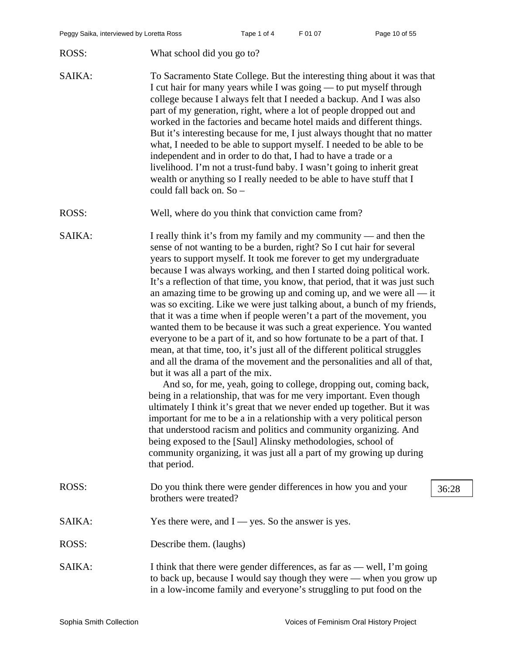- ROSS: What school did you go to?
- SAIKA: To Sacramento State College. But the interesting thing about it was that I cut hair for many years while I was going — to put myself through college because I always felt that I needed a backup. And I was also part of my generation, right, where a lot of people dropped out and worked in the factories and became hotel maids and different things. But it's interesting because for me, I just always thought that no matter what, I needed to be able to support myself. I needed to be able to be independent and in order to do that, I had to have a trade or a livelihood. I'm not a trust-fund baby. I wasn't going to inherit great wealth or anything so I really needed to be able to have stuff that I could fall back on. So –
- ROSS: Well, where do you think that conviction came from?

SAIKA: I really think it's from my family and my community — and then the sense of not wanting to be a burden, right? So I cut hair for several years to support myself. It took me forever to get my undergraduate because I was always working, and then I started doing political work. It's a reflection of that time, you know, that period, that it was just such an amazing time to be growing up and coming up, and we were all — it was so exciting. Like we were just talking about, a bunch of my friends, that it was a time when if people weren't a part of the movement, you wanted them to be because it was such a great experience. You wanted everyone to be a part of it, and so how fortunate to be a part of that. I mean, at that time, too, it's just all of the different political struggles and all the drama of the movement and the personalities and all of that, but it was all a part of the mix.

And so, for me, yeah, going to college, dropping out, coming back, being in a relationship, that was for me very important. Even though ultimately I think it's great that we never ended up together. But it was important for me to be a in a relationship with a very political person that understood racism and politics and community organizing. And being exposed to the [Saul] Alinsky methodologies, school of community organizing, it was just all a part of my growing up during that period.

- ROSS: Do you think there were gender differences in how you and your 36:28 brothers were treated?
- SAIKA: Yes there were, and I yes. So the answer is yes.
- ROSS: Describe them. (laughs)
- SAIKA: I think that there were gender differences, as far as well, I'm going to back up, because I would say though they were — when you grow up in a low-income family and everyone's struggling to put food on the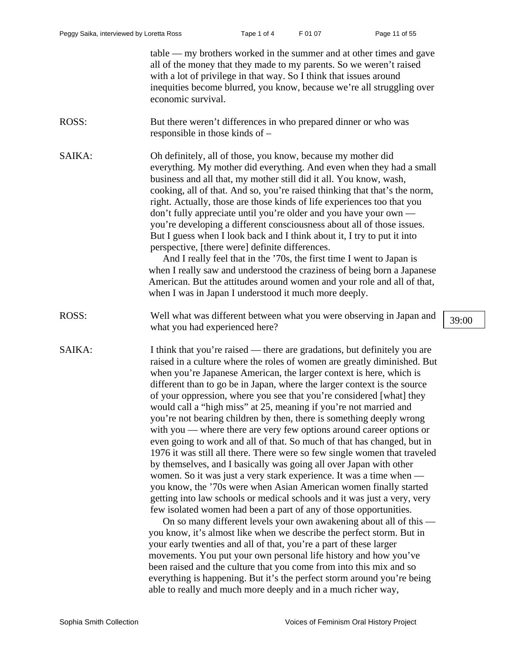|        | table — my brothers worked in the summer and at other times and gave<br>all of the money that they made to my parents. So we weren't raised<br>with a lot of privilege in that way. So I think that issues around<br>inequities become blurred, you know, because we're all struggling over<br>economic survival.                                                                                                                                                                                                                                                                                                                                                                                                                                                                                                                                                                                                                                                                                                                                                                                                                                                                                                                                                                                                                                                                                                                                                                                                                                                           |       |
|--------|-----------------------------------------------------------------------------------------------------------------------------------------------------------------------------------------------------------------------------------------------------------------------------------------------------------------------------------------------------------------------------------------------------------------------------------------------------------------------------------------------------------------------------------------------------------------------------------------------------------------------------------------------------------------------------------------------------------------------------------------------------------------------------------------------------------------------------------------------------------------------------------------------------------------------------------------------------------------------------------------------------------------------------------------------------------------------------------------------------------------------------------------------------------------------------------------------------------------------------------------------------------------------------------------------------------------------------------------------------------------------------------------------------------------------------------------------------------------------------------------------------------------------------------------------------------------------------|-------|
| ROSS:  | But there weren't differences in who prepared dinner or who was<br>responsible in those kinds of -                                                                                                                                                                                                                                                                                                                                                                                                                                                                                                                                                                                                                                                                                                                                                                                                                                                                                                                                                                                                                                                                                                                                                                                                                                                                                                                                                                                                                                                                          |       |
| SAIKA: | Oh definitely, all of those, you know, because my mother did<br>everything. My mother did everything. And even when they had a small<br>business and all that, my mother still did it all. You know, wash,<br>cooking, all of that. And so, you're raised thinking that that's the norm,<br>right. Actually, those are those kinds of life experiences too that you<br>don't fully appreciate until you're older and you have your own —<br>you're developing a different consciousness about all of those issues.<br>But I guess when I look back and I think about it, I try to put it into<br>perspective, [there were] definite differences.<br>And I really feel that in the '70s, the first time I went to Japan is<br>when I really saw and understood the craziness of being born a Japanese<br>American. But the attitudes around women and your role and all of that,<br>when I was in Japan I understood it much more deeply.                                                                                                                                                                                                                                                                                                                                                                                                                                                                                                                                                                                                                                    |       |
| ROSS:  | Well what was different between what you were observing in Japan and<br>what you had experienced here?                                                                                                                                                                                                                                                                                                                                                                                                                                                                                                                                                                                                                                                                                                                                                                                                                                                                                                                                                                                                                                                                                                                                                                                                                                                                                                                                                                                                                                                                      | 39:00 |
| SAIKA: | I think that you're raised — there are gradations, but definitely you are<br>raised in a culture where the roles of women are greatly diminished. But<br>when you're Japanese American, the larger context is here, which is<br>different than to go be in Japan, where the larger context is the source<br>of your oppression, where you see that you're considered [what] they<br>would call a "high miss" at 25, meaning if you're not married and<br>you're not bearing children by then, there is something deeply wrong<br>with you — where there are very few options around career options or<br>even going to work and all of that. So much of that has changed, but in<br>1976 it was still all there. There were so few single women that traveled<br>by themselves, and I basically was going all over Japan with other<br>women. So it was just a very stark experience. It was a time when —<br>you know, the '70s were when Asian American women finally started<br>getting into law schools or medical schools and it was just a very, very<br>few isolated women had been a part of any of those opportunities.<br>On so many different levels your own awakening about all of this —<br>you know, it's almost like when we describe the perfect storm. But in<br>your early twenties and all of that, you're a part of these larger<br>movements. You put your own personal life history and how you've<br>been raised and the culture that you come from into this mix and so<br>everything is happening. But it's the perfect storm around you're being |       |

able to really and much more deeply and in a much richer way,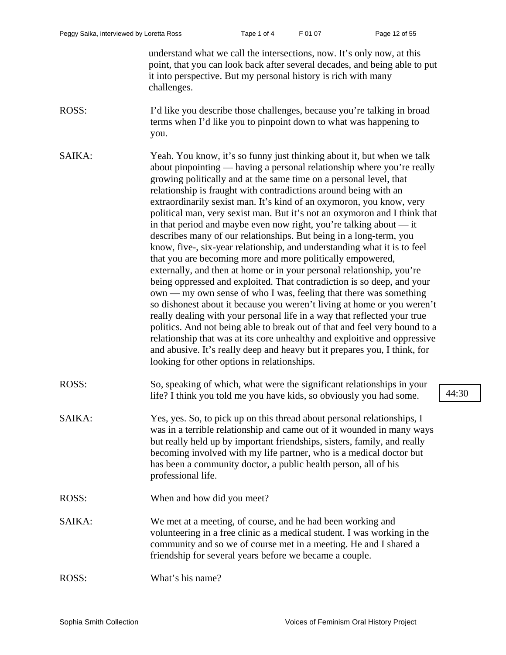understand what we call the intersections, now. It's only now, at this point, that you can look back after several decades, and being able to put it into perspective. But my personal history is rich with many challenges.

ROSS: I'd like you describe those challenges, because you're talking in broad terms when I'd like you to pinpoint down to what was happening to you.

SAIKA: Yeah. You know, it's so funny just thinking about it, but when we talk about pinpointing — having a personal relationship where you're really growing politically and at the same time on a personal level, that relationship is fraught with contradictions around being with an extraordinarily sexist man. It's kind of an oxymoron, you know, very political man, very sexist man. But it's not an oxymoron and I think that in that period and maybe even now right, you're talking about — it describes many of our relationships. But being in a long-term, you know, five-, six-year relationship, and understanding what it is to feel that you are becoming more and more politically empowered, externally, and then at home or in your personal relationship, you're being oppressed and exploited. That contradiction is so deep, and your own — my own sense of who I was, feeling that there was something so dishonest about it because you weren't living at home or you weren't really dealing with your personal life in a way that reflected your true politics. And not being able to break out of that and feel very bound to a relationship that was at its core unhealthy and exploitive and oppressive and abusive. It's really deep and heavy but it prepares you, I think, for looking for other options in relationships.

- ROSS: So, speaking of which, what were the significant relationships in your life? I think you told me you have kids, so obviously you had some.  $\left( \frac{44:30}{2} \right)$ 
	-
- SAIKA: Yes, yes. So, to pick up on this thread about personal relationships, I was in a terrible relationship and came out of it wounded in many ways but really held up by important friendships, sisters, family, and really becoming involved with my life partner, who is a medical doctor but has been a community doctor, a public health person, all of his professional life.
	- ROSS: When and how did you meet?
	- SAIKA: We met at a meeting, of course, and he had been working and volunteering in a free clinic as a medical student. I was working in the community and so we of course met in a meeting. He and I shared a friendship for several years before we became a couple.
	- ROSS: What's his name?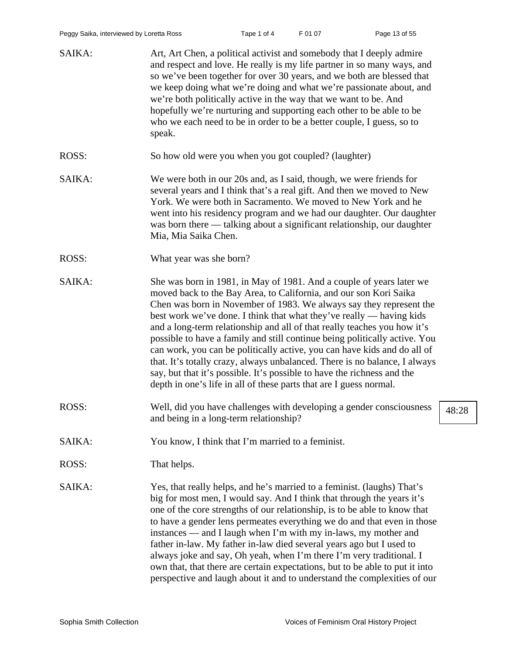| SAIKA: | Art, Art Chen, a political activist and somebody that I deeply admire<br>and respect and love. He really is my life partner in so many ways, and<br>so we've been together for over 30 years, and we both are blessed that<br>we keep doing what we're doing and what we're passionate about, and<br>we're both politically active in the way that we want to be. And<br>hopefully we're nurturing and supporting each other to be able to be<br>who we each need to be in order to be a better couple, I guess, so to<br>speak.                                                                                                                                                                                                                              |       |
|--------|---------------------------------------------------------------------------------------------------------------------------------------------------------------------------------------------------------------------------------------------------------------------------------------------------------------------------------------------------------------------------------------------------------------------------------------------------------------------------------------------------------------------------------------------------------------------------------------------------------------------------------------------------------------------------------------------------------------------------------------------------------------|-------|
| ROSS:  | So how old were you when you got coupled? (laughter)                                                                                                                                                                                                                                                                                                                                                                                                                                                                                                                                                                                                                                                                                                          |       |
| SAIKA: | We were both in our 20s and, as I said, though, we were friends for<br>several years and I think that's a real gift. And then we moved to New<br>York. We were both in Sacramento. We moved to New York and he<br>went into his residency program and we had our daughter. Our daughter<br>was born there — talking about a significant relationship, our daughter<br>Mia, Mia Saika Chen.                                                                                                                                                                                                                                                                                                                                                                    |       |
| ROSS:  | What year was she born?                                                                                                                                                                                                                                                                                                                                                                                                                                                                                                                                                                                                                                                                                                                                       |       |
| SAIKA: | She was born in 1981, in May of 1981. And a couple of years later we<br>moved back to the Bay Area, to California, and our son Kori Saika<br>Chen was born in November of 1983. We always say they represent the<br>best work we've done. I think that what they've really — having kids<br>and a long-term relationship and all of that really teaches you how it's<br>possible to have a family and still continue being politically active. You<br>can work, you can be politically active, you can have kids and do all of<br>that. It's totally crazy, always unbalanced. There is no balance, I always<br>say, but that it's possible. It's possible to have the richness and the<br>depth in one's life in all of these parts that are I guess normal. |       |
| ROSS:  | Well, did you have challenges with developing a gender consciousness<br>and being in a long-term relationship?                                                                                                                                                                                                                                                                                                                                                                                                                                                                                                                                                                                                                                                | 48:28 |
| SAIKA: | You know, I think that I'm married to a feminist.                                                                                                                                                                                                                                                                                                                                                                                                                                                                                                                                                                                                                                                                                                             |       |
| ROSS:  | That helps.                                                                                                                                                                                                                                                                                                                                                                                                                                                                                                                                                                                                                                                                                                                                                   |       |
| SAIKA: | Yes, that really helps, and he's married to a feminist. (laughs) That's<br>big for most men, I would say. And I think that through the years it's<br>one of the core strengths of our relationship, is to be able to know that<br>to have a gender lens permeates everything we do and that even in those<br>instances — and I laugh when I'm with my in-laws, my mother and<br>father in-law. My father in-law died several years ago but I used to<br>always joke and say, Oh yeah, when I'm there I'm very traditional. I<br>own that, that there are certain expectations, but to be able to put it into<br>perspective and laugh about it and to understand the complexities of our                                                                      |       |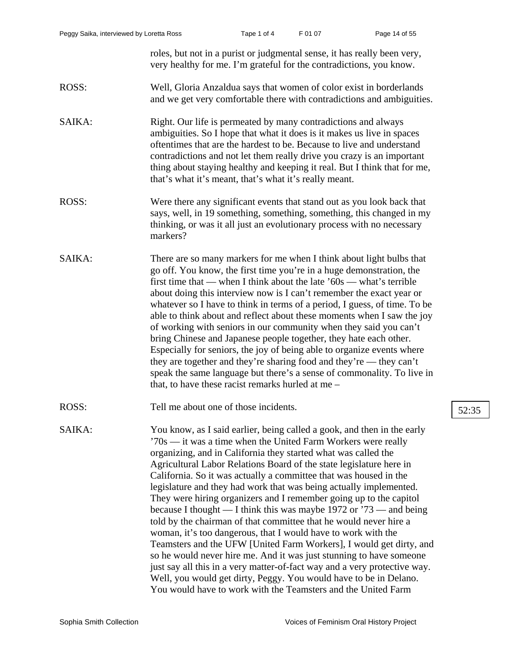roles, but not in a purist or judgmental sense, it has really been very, very healthy for me. I'm grateful for the contradictions, you know.

## ROSS: Well, Gloria Anzaldua says that women of color exist in borderlands and we get very comfortable there with contradictions and ambiguities.

SAIKA: Right. Our life is permeated by many contradictions and always ambiguities. So I hope that what it does is it makes us live in spaces oftentimes that are the hardest to be. Because to live and understand contradictions and not let them really drive you crazy is an important thing about staying healthy and keeping it real. But I think that for me, that's what it's meant, that's what it's really meant.

- ROSS: Were there any significant events that stand out as you look back that says, well, in 19 something, something, something, this changed in my thinking, or was it all just an evolutionary process with no necessary markers?
- SAIKA: There are so many markers for me when I think about light bulbs that go off. You know, the first time you're in a huge demonstration, the first time that — when I think about the late  $60s$  — what's terrible about doing this interview now is I can't remember the exact year or whatever so I have to think in terms of a period, I guess, of time. To be able to think about and reflect about these moments when I saw the joy of working with seniors in our community when they said you can't bring Chinese and Japanese people together, they hate each other. Especially for seniors, the joy of being able to organize events where they are together and they're sharing food and they're — they can't speak the same language but there's a sense of commonality. To live in that, to have these racist remarks hurled at me –
- ROSS: Tell me about one of those incidents. [52:35]

SAIKA: You know, as I said earlier, being called a gook, and then in the early '70s — it was a time when the United Farm Workers were really organizing, and in California they started what was called the Agricultural Labor Relations Board of the state legislature here in California. So it was actually a committee that was housed in the legislature and they had work that was being actually implemented. They were hiring organizers and I remember going up to the capitol because I thought — I think this was maybe 1972 or '73 — and being told by the chairman of that committee that he would never hire a woman, it's too dangerous, that I would have to work with the Teamsters and the UFW [United Farm Workers], I would get dirty, and so he would never hire me. And it was just stunning to have someone just say all this in a very matter-of-fact way and a very protective way. Well, you would get dirty, Peggy. You would have to be in Delano. You would have to work with the Teamsters and the United Farm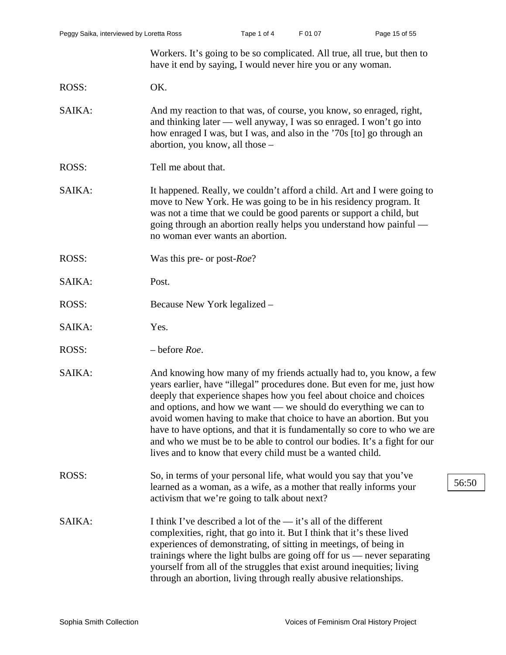Workers. It's going to be so complicated. All true, all true, but then to have it end by saying, I would never hire you or any woman.

ROSS: OK.

- SAIKA: And my reaction to that was, of course, you know, so enraged, right, and thinking later — well anyway, I was so enraged. I won't go into how enraged I was, but I was, and also in the '70s [to] go through an abortion, you know, all those –
- ROSS: Tell me about that.
- SAIKA: It happened. Really, we couldn't afford a child. Art and I were going to move to New York. He was going to be in his residency program. It was not a time that we could be good parents or support a child, but going through an abortion really helps you understand how painful no woman ever wants an abortion.
- ROSS: Was this pre- or post-*Roe*?
- SAIKA: Post.
- ROSS: Because New York legalized –
- SAIKA: Yes.
- ROSS: before *Roe*.
- SAIKA: And knowing how many of my friends actually had to, you know, a few years earlier, have "illegal" procedures done. But even for me, just how deeply that experience shapes how you feel about choice and choices and options, and how we want — we should do everything we can to avoid women having to make that choice to have an abortion. But you have to have options, and that it is fundamentally so core to who we are and who we must be to be able to control our bodies. It's a fight for our lives and to know that every child must be a wanted child.
- ROSS: So, in terms of your personal life, what would you say that you've learned as a woman, as a wife, as a mother that really informs your activism that we're going to talk about next?
- SAIKA: I think I've described a lot of the it's all of the different complexities, right, that go into it. But I think that it's these lived experiences of demonstrating, of sitting in meetings, of being in trainings where the light bulbs are going off for us — never separating yourself from all of the struggles that exist around inequities; living through an abortion, living through really abusive relationships.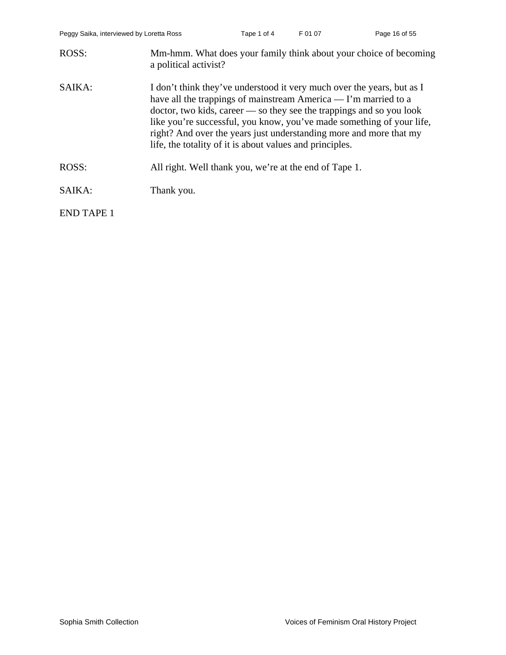| ROSS:             | Mm-hmm. What does your family think about your choice of becoming<br>a political activist?                                                                                                                                                                                                                                                                                                                                             |
|-------------------|----------------------------------------------------------------------------------------------------------------------------------------------------------------------------------------------------------------------------------------------------------------------------------------------------------------------------------------------------------------------------------------------------------------------------------------|
| SAIKA:            | I don't think they've understood it very much over the years, but as I<br>have all the trappings of mainstream America — I'm married to a<br>$doctor, two kids, career \text{---} so they see the trapping and so you look$<br>like you're successful, you know, you've made something of your life,<br>right? And over the years just understanding more and more that my<br>life, the totality of it is about values and principles. |
| ROSS:             | All right. Well thank you, we're at the end of Tape 1.                                                                                                                                                                                                                                                                                                                                                                                 |
| SAIKA:            | Thank you.                                                                                                                                                                                                                                                                                                                                                                                                                             |
| <b>END TAPE 1</b> |                                                                                                                                                                                                                                                                                                                                                                                                                                        |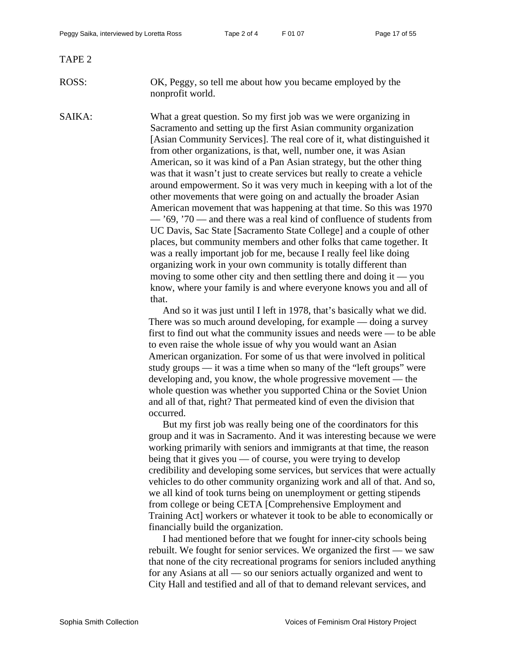TAPE 2

ROSS: OK, Peggy, so tell me about how you became employed by the nonprofit world.

SAIKA: What a great question. So my first job was we were organizing in Sacramento and setting up the first Asian community organization [Asian Community Services]. The real core of it, what distinguished it from other organizations, is that, well, number one, it was Asian American, so it was kind of a Pan Asian strategy, but the other thing was that it wasn't just to create services but really to create a vehicle around empowerment. So it was very much in keeping with a lot of the other movements that were going on and actually the broader Asian American movement that was happening at that time. So this was 1970 — '69, '70 — and there was a real kind of confluence of students from UC Davis, Sac State [Sacramento State College] and a couple of other places, but community members and other folks that came together. It was a really important job for me, because I really feel like doing organizing work in your own community is totally different than moving to some other city and then settling there and doing it  $\sim$  you know, where your family is and where everyone knows you and all of that.

> And so it was just until I left in 1978, that's basically what we did. There was so much around developing, for example — doing a survey first to find out what the community issues and needs were — to be able to even raise the whole issue of why you would want an Asian American organization. For some of us that were involved in political study groups — it was a time when so many of the "left groups" were developing and, you know, the whole progressive movement — the whole question was whether you supported China or the Soviet Union and all of that, right? That permeated kind of even the division that occurred.

> But my first job was really being one of the coordinators for this group and it was in Sacramento. And it was interesting because we were working primarily with seniors and immigrants at that time, the reason being that it gives you — of course, you were trying to develop credibility and developing some services, but services that were actually vehicles to do other community organizing work and all of that. And so, we all kind of took turns being on unemployment or getting stipends from college or being CETA [Comprehensive Employment and Training Act] workers or whatever it took to be able to economically or financially build the organization.

> I had mentioned before that we fought for inner-city schools being rebuilt. We fought for senior services. We organized the first — we saw that none of the city recreational programs for seniors included anything for any Asians at all — so our seniors actually organized and went to City Hall and testified and all of that to demand relevant services, and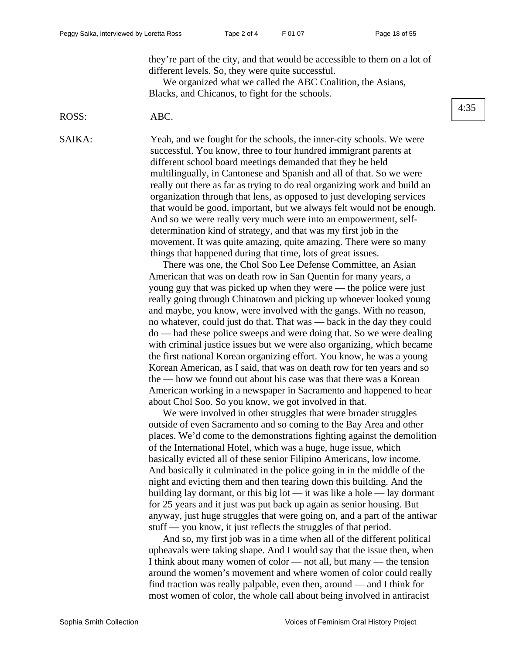they're part of the city, and that would be accessible to them on a lot of different levels. So, they were quite successful.

We organized what we called the ABC Coalition, the Asians, Blacks, and Chicanos, to fight for the schools.

### ROSS: ABC.

SAIKA: Yeah, and we fought for the schools, the inner-city schools. We were successful. You know, three to four hundred immigrant parents at different school board meetings demanded that they be held multilingually, in Cantonese and Spanish and all of that. So we were really out there as far as trying to do real organizing work and build an organization through that lens, as opposed to just developing services that would be good, important, but we always felt would not be enough. And so we were really very much were into an empowerment, selfdetermination kind of strategy, and that was my first job in the movement. It was quite amazing, quite amazing. There were so many things that happened during that time, lots of great issues.

> There was one, the Chol Soo Lee Defense Committee, an Asian American that was on death row in San Quentin for many years, a young guy that was picked up when they were — the police were just really going through Chinatown and picking up whoever looked young and maybe, you know, were involved with the gangs. With no reason, no whatever, could just do that. That was — back in the day they could do — had these police sweeps and were doing that. So we were dealing with criminal justice issues but we were also organizing, which became the first national Korean organizing effort. You know, he was a young Korean American, as I said, that was on death row for ten years and so the — how we found out about his case was that there was a Korean American working in a newspaper in Sacramento and happened to hear about Chol Soo. So you know, we got involved in that.

We were involved in other struggles that were broader struggles outside of even Sacramento and so coming to the Bay Area and other places. We'd come to the demonstrations fighting against the demolition of the International Hotel, which was a huge, huge issue, which basically evicted all of these senior Filipino Americans, low income. And basically it culminated in the police going in in the middle of the night and evicting them and then tearing down this building. And the building lay dormant, or this big lot — it was like a hole — lay dormant for 25 years and it just was put back up again as senior housing. But anyway, just huge struggles that were going on, and a part of the antiwar stuff — you know, it just reflects the struggles of that period.

And so, my first job was in a time when all of the different political upheavals were taking shape. And I would say that the issue then, when I think about many women of color — not all, but many — the tension around the women's movement and where women of color could really find traction was really palpable, even then, around — and I think for most women of color, the whole call about being involved in antiracist

### 4:35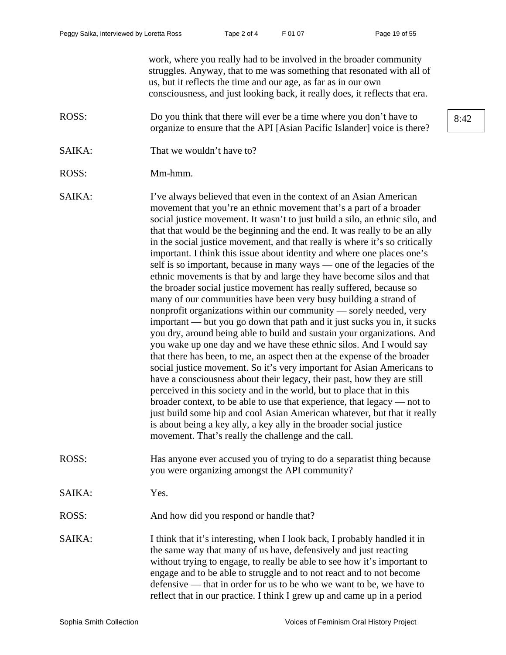work, where you really had to be involved in the broader community struggles. Anyway, that to me was something that resonated with all of us, but it reflects the time and our age, as far as in our own consciousness, and just looking back, it really does, it reflects that era.

- ROSS: Do you think that there will ever be a time where you don't have to  $\begin{array}{|l|}8.42\end{array}$ organize to ensure that the API [Asian Pacific Islander] voice is there?
- SAIKA: That we wouldn't have to?
- ROSS: Mm-hmm.
- SAIKA: I've always believed that even in the context of an Asian American movement that you're an ethnic movement that's a part of a broader social justice movement. It wasn't to just build a silo, an ethnic silo, and that that would be the beginning and the end. It was really to be an ally in the social justice movement, and that really is where it's so critically important. I think this issue about identity and where one places one's self is so important, because in many ways — one of the legacies of the ethnic movements is that by and large they have become silos and that the broader social justice movement has really suffered, because so many of our communities have been very busy building a strand of nonprofit organizations within our community — sorely needed, very important — but you go down that path and it just sucks you in, it sucks you dry, around being able to build and sustain your organizations. And you wake up one day and we have these ethnic silos. And I would say that there has been, to me, an aspect then at the expense of the broader social justice movement. So it's very important for Asian Americans to have a consciousness about their legacy, their past, how they are still perceived in this society and in the world, but to place that in this broader context, to be able to use that experience, that legacy — not to just build some hip and cool Asian American whatever, but that it really is about being a key ally, a key ally in the broader social justice movement. That's really the challenge and the call.
- ROSS: Has anyone ever accused you of trying to do a separatist thing because you were organizing amongst the API community?
- SAIKA: Yes.
- ROSS: And how did you respond or handle that?
- SAIKA: I think that it's interesting, when I look back, I probably handled it in the same way that many of us have, defensively and just reacting without trying to engage, to really be able to see how it's important to engage and to be able to struggle and to not react and to not become defensive — that in order for us to be who we want to be, we have to reflect that in our practice. I think I grew up and came up in a period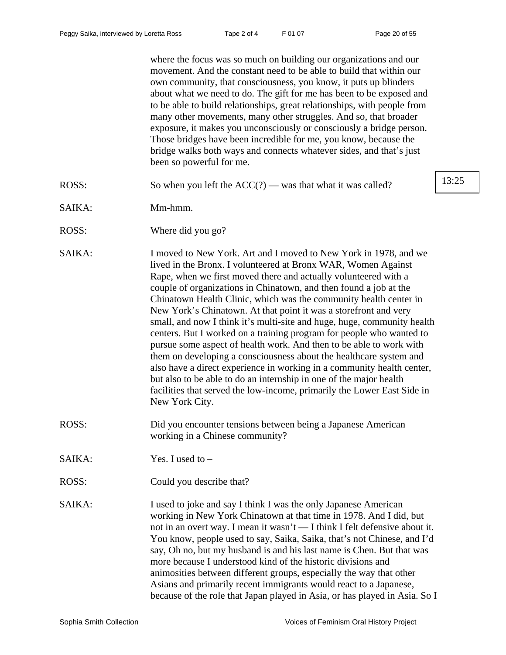where the focus was so much on building our organizations and our movement. And the constant need to be able to build that within our own community, that consciousness, you know, it puts up blinders about what we need to do. The gift for me has been to be exposed and to be able to build relationships, great relationships, with people from many other movements, many other struggles. And so, that broader exposure, it makes you unconsciously or consciously a bridge person. Those bridges have been incredible for me, you know, because the bridge walks both ways and connects whatever sides, and that's just been so powerful for me.

- ROSS: So when you left the  $ACC(?)$  was that what it was called?  $13:25$ SAIKA: Mm-hmm. ROSS: Where did you go? SAIKA: I moved to New York. Art and I moved to New York in 1978, and we lived in the Bronx. I volunteered at Bronx WAR, Women Against Rape, when we first moved there and actually volunteered with a couple of organizations in Chinatown, and then found a job at the Chinatown Health Clinic, which was the community health center in New York's Chinatown. At that point it was a storefront and very small, and now I think it's multi-site and huge, huge, community health centers. But I worked on a training program for people who wanted to pursue some aspect of health work. And then to be able to work with them on developing a consciousness about the healthcare system and also have a direct experience in working in a community health center, but also to be able to do an internship in one of the major health facilities that served the low-income, primarily the Lower East Side in New York City. ROSS: Did you encounter tensions between being a Japanese American working in a Chinese community? SAIKA: Yes. I used to – ROSS: Could you describe that?
- SAIKA: I used to joke and say I think I was the only Japanese American working in New York Chinatown at that time in 1978. And I did, but not in an overt way. I mean it wasn't — I think I felt defensive about it. You know, people used to say, Saika, Saika, that's not Chinese, and I'd say, Oh no, but my husband is and his last name is Chen. But that was more because I understood kind of the historic divisions and animosities between different groups, especially the way that other Asians and primarily recent immigrants would react to a Japanese, because of the role that Japan played in Asia, or has played in Asia. So I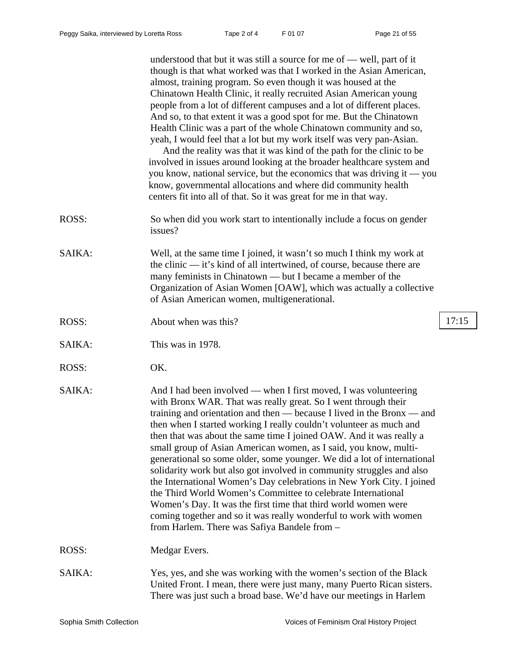understood that but it was still a source for me of — well, part of it though is that what worked was that I worked in the Asian American, almost, training program. So even though it was housed at the Chinatown Health Clinic, it really recruited Asian American young people from a lot of different campuses and a lot of different places. And so, to that extent it was a good spot for me. But the Chinatown Health Clinic was a part of the whole Chinatown community and so, yeah, I would feel that a lot but my work itself was very pan-Asian. And the reality was that it was kind of the path for the clinic to be involved in issues around looking at the broader healthcare system and you know, national service, but the economics that was driving it — you know, governmental allocations and where did community health centers fit into all of that. So it was great for me in that way. ROSS: So when did you work start to intentionally include a focus on gender issues? SAIKA: Well, at the same time I joined, it wasn't so much I think my work at the clinic — it's kind of all intertwined, of course, because there are many feminists in Chinatown — but I became a member of the Organization of Asian Women [OAW], which was actually a collective of Asian American women, multigenerational. ROSS: About when was this? 17:15 SAIKA: This was in 1978. ROSS: OK. SAIKA: And I had been involved — when I first moved, I was volunteering with Bronx WAR. That was really great. So I went through their training and orientation and then — because I lived in the Bronx — and then when I started working I really couldn't volunteer as much and then that was about the same time I joined OAW. And it was really a small group of Asian American women, as I said, you know, multigenerational so some older, some younger. We did a lot of international solidarity work but also got involved in community struggles and also the International Women's Day celebrations in New York City. I joined the Third World Women's Committee to celebrate International Women's Day. It was the first time that third world women were coming together and so it was really wonderful to work with women from Harlem. There was Safiya Bandele from – ROSS: Medgar Evers. SAIKA: Yes, yes, and she was working with the women's section of the Black United Front. I mean, there were just many, many Puerto Rican sisters.

There was just such a broad base. We'd have our meetings in Harlem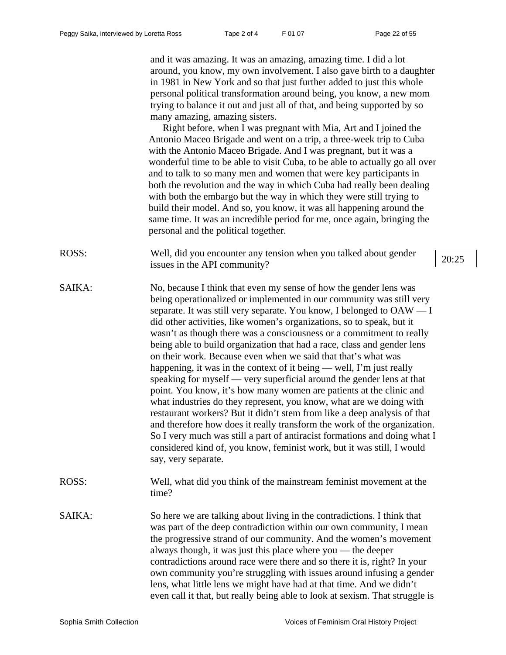and it was amazing. It was an amazing, amazing time. I did a lot around, you know, my own involvement. I also gave birth to a daughter in 1981 in New York and so that just further added to just this whole personal political transformation around being, you know, a new mom trying to balance it out and just all of that, and being supported by so many amazing, amazing sisters.

Right before, when I was pregnant with Mia, Art and I joined the Antonio Maceo Brigade and went on a trip, a three-week trip to Cuba with the Antonio Maceo Brigade. And I was pregnant, but it was a wonderful time to be able to visit Cuba, to be able to actually go all over and to talk to so many men and women that were key participants in both the revolution and the way in which Cuba had really been dealing with both the embargo but the way in which they were still trying to build their model. And so, you know, it was all happening around the same time. It was an incredible period for me, once again, bringing the personal and the political together.

- ROSS: Well, did you encounter any tension when you talked about gender wen, and you encounter any tension when you taked about gender  $20:25$ <br>issues in the API community?
- SAIKA: No, because I think that even my sense of how the gender lens was being operationalized or implemented in our community was still very separate. It was still very separate. You know, I belonged to OAW — I did other activities, like women's organizations, so to speak, but it wasn't as though there was a consciousness or a commitment to really being able to build organization that had a race, class and gender lens on their work. Because even when we said that that's what was happening, it was in the context of it being — well, I'm just really speaking for myself — very superficial around the gender lens at that point. You know, it's how many women are patients at the clinic and what industries do they represent, you know, what are we doing with restaurant workers? But it didn't stem from like a deep analysis of that and therefore how does it really transform the work of the organization. So I very much was still a part of antiracist formations and doing what I considered kind of, you know, feminist work, but it was still, I would say, very separate.
- ROSS: Well, what did you think of the mainstream feminist movement at the time?
- SAIKA: So here we are talking about living in the contradictions. I think that was part of the deep contradiction within our own community, I mean the progressive strand of our community. And the women's movement always though, it was just this place where you — the deeper contradictions around race were there and so there it is, right? In your own community you're struggling with issues around infusing a gender lens, what little lens we might have had at that time. And we didn't even call it that, but really being able to look at sexism. That struggle is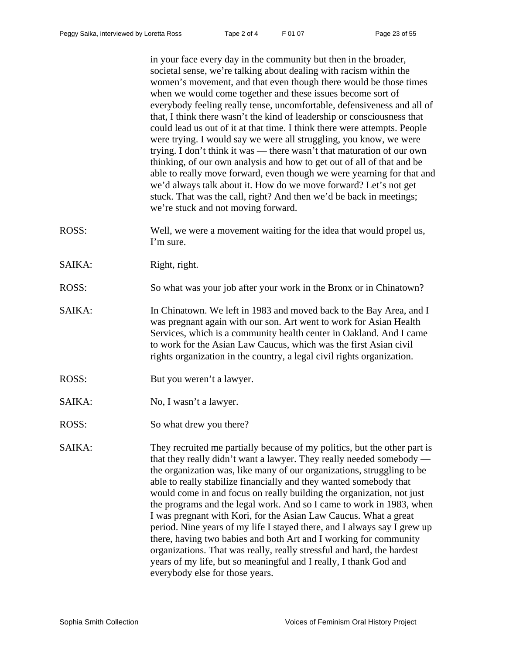in your face every day in the community but then in the broader, societal sense, we're talking about dealing with racism within the women's movement, and that even though there would be those times when we would come together and these issues become sort of everybody feeling really tense, uncomfortable, defensiveness and all of that, I think there wasn't the kind of leadership or consciousness that could lead us out of it at that time. I think there were attempts. People were trying. I would say we were all struggling, you know, we were trying. I don't think it was — there wasn't that maturation of our own thinking, of our own analysis and how to get out of all of that and be able to really move forward, even though we were yearning for that and we'd always talk about it. How do we move forward? Let's not get stuck. That was the call, right? And then we'd be back in meetings; we're stuck and not moving forward.

- ROSS: Well, we were a movement waiting for the idea that would propel us, I'm sure.
- SAIKA: Right, right.
- ROSS: So what was your job after your work in the Bronx or in Chinatown?
- SAIKA: In Chinatown. We left in 1983 and moved back to the Bay Area, and I was pregnant again with our son. Art went to work for Asian Health Services, which is a community health center in Oakland. And I came to work for the Asian Law Caucus, which was the first Asian civil rights organization in the country, a legal civil rights organization.
- ROSS: But you weren't a lawyer.
- SAIKA: No, I wasn't a lawyer.
- ROSS: So what drew you there?
- SAIKA: They recruited me partially because of my politics, but the other part is that they really didn't want a lawyer. They really needed somebody the organization was, like many of our organizations, struggling to be able to really stabilize financially and they wanted somebody that would come in and focus on really building the organization, not just the programs and the legal work. And so I came to work in 1983, when I was pregnant with Kori, for the Asian Law Caucus. What a great period. Nine years of my life I stayed there, and I always say I grew up there, having two babies and both Art and I working for community organizations. That was really, really stressful and hard, the hardest years of my life, but so meaningful and I really, I thank God and everybody else for those years.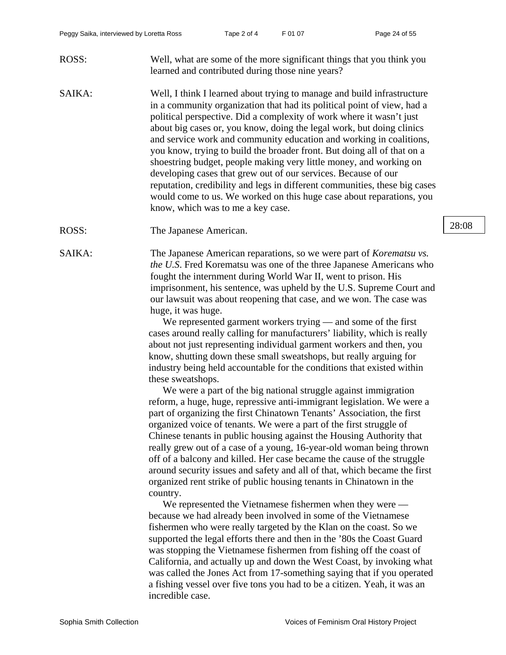- ROSS: Well, what are some of the more significant things that you think you learned and contributed during those nine years?
- SAIKA: Well, I think I learned about trying to manage and build infrastructure in a community organization that had its political point of view, had a political perspective. Did a complexity of work where it wasn't just about big cases or, you know, doing the legal work, but doing clinics and service work and community education and working in coalitions, you know, trying to build the broader front. But doing all of that on a shoestring budget, people making very little money, and working on developing cases that grew out of our services. Because of our reputation, credibility and legs in different communities, these big cases would come to us. We worked on this huge case about reparations, you know, which was to me a key case.
- ROSS: The Japanese American. 28:08

SAIKA: The Japanese American reparations, so we were part of *Korematsu vs. the U.S*. Fred Korematsu was one of the three Japanese Americans who fought the internment during World War II, went to prison. His imprisonment, his sentence, was upheld by the U.S. Supreme Court and our lawsuit was about reopening that case, and we won. The case was huge, it was huge.

> We represented garment workers trying — and some of the first cases around really calling for manufacturers' liability, which is really about not just representing individual garment workers and then, you know, shutting down these small sweatshops, but really arguing for industry being held accountable for the conditions that existed within these sweatshops.

We were a part of the big national struggle against immigration reform, a huge, huge, repressive anti-immigrant legislation. We were a part of organizing the first Chinatown Tenants' Association, the first organized voice of tenants. We were a part of the first struggle of Chinese tenants in public housing against the Housing Authority that really grew out of a case of a young, 16-year-old woman being thrown off of a balcony and killed. Her case became the cause of the struggle around security issues and safety and all of that, which became the first organized rent strike of public housing tenants in Chinatown in the country.

We represented the Vietnamese fishermen when they were because we had already been involved in some of the Vietnamese fishermen who were really targeted by the Klan on the coast. So we supported the legal efforts there and then in the '80s the Coast Guard was stopping the Vietnamese fishermen from fishing off the coast of California, and actually up and down the West Coast, by invoking what was called the Jones Act from 17-something saying that if you operated a fishing vessel over five tons you had to be a citizen. Yeah, it was an incredible case.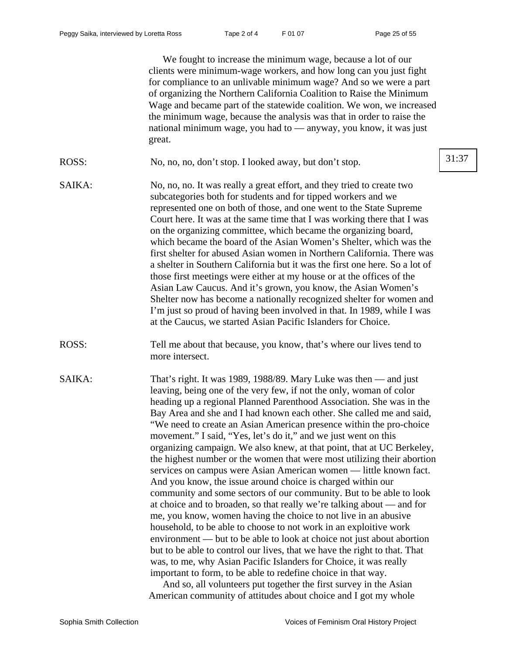We fought to increase the minimum wage, because a lot of our clients were minimum-wage workers, and how long can you just fight for compliance to an unlivable minimum wage? And so we were a part of organizing the Northern California Coalition to Raise the Minimum Wage and became part of the statewide coalition. We won, we increased the minimum wage, because the analysis was that in order to raise the national minimum wage, you had to — anyway, you know, it was just great.

- ROSS: No, no, no, don't stop. I looked away, but don't stop. 31:37
- SAIKA: No, no, no. It was really a great effort, and they tried to create two subcategories both for students and for tipped workers and we represented one on both of those, and one went to the State Supreme Court here. It was at the same time that I was working there that I was on the organizing committee, which became the organizing board, which became the board of the Asian Women's Shelter, which was the first shelter for abused Asian women in Northern California. There was a shelter in Southern California but it was the first one here. So a lot of those first meetings were either at my house or at the offices of the Asian Law Caucus. And it's grown, you know, the Asian Women's Shelter now has become a nationally recognized shelter for women and I'm just so proud of having been involved in that. In 1989, while I was at the Caucus, we started Asian Pacific Islanders for Choice.
- ROSS: Tell me about that because, you know, that's where our lives tend to more intersect.
- SAIKA: That's right. It was 1989, 1988/89. Mary Luke was then and just leaving, being one of the very few, if not the only, woman of color heading up a regional Planned Parenthood Association. She was in the Bay Area and she and I had known each other. She called me and said, "We need to create an Asian American presence within the pro-choice movement." I said, "Yes, let's do it," and we just went on this organizing campaign. We also knew, at that point, that at UC Berkeley, the highest number or the women that were most utilizing their abortion services on campus were Asian American women — little known fact. And you know, the issue around choice is charged within our community and some sectors of our community. But to be able to look at choice and to broaden, so that really we're talking about — and for me, you know, women having the choice to not live in an abusive household, to be able to choose to not work in an exploitive work environment — but to be able to look at choice not just about abortion but to be able to control our lives, that we have the right to that. That was, to me, why Asian Pacific Islanders for Choice, it was really important to form, to be able to redefine choice in that way.

And so, all volunteers put together the first survey in the Asian American community of attitudes about choice and I got my whole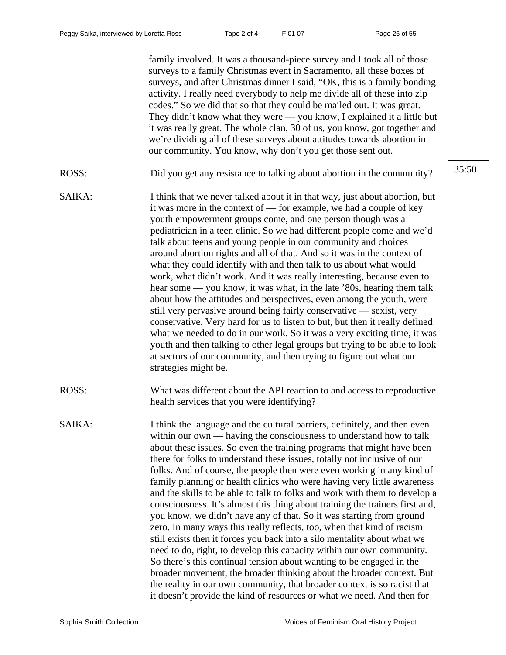family involved. It was a thousand-piece survey and I took all of those surveys to a family Christmas event in Sacramento, all these boxes of surveys, and after Christmas dinner I said, "OK, this is a family bonding activity. I really need everybody to help me divide all of these into zip codes." So we did that so that they could be mailed out. It was great. They didn't know what they were — you know, I explained it a little but it was really great. The whole clan, 30 of us, you know, got together and we're dividing all of these surveys about attitudes towards abortion in our community. You know, why don't you get those sent out.

- ROSS: Did you get any resistance to talking about abortion in the community? 35:50
- SAIKA: I think that we never talked about it in that way, just about abortion, but it was more in the context of — for example, we had a couple of key youth empowerment groups come, and one person though was a pediatrician in a teen clinic. So we had different people come and we'd talk about teens and young people in our community and choices around abortion rights and all of that. And so it was in the context of what they could identify with and then talk to us about what would work, what didn't work. And it was really interesting, because even to hear some — you know, it was what, in the late '80s, hearing them talk about how the attitudes and perspectives, even among the youth, were still very pervasive around being fairly conservative — sexist, very conservative. Very hard for us to listen to but, but then it really defined what we needed to do in our work. So it was a very exciting time, it was youth and then talking to other legal groups but trying to be able to look at sectors of our community, and then trying to figure out what our strategies might be.
- ROSS: What was different about the API reaction to and access to reproductive health services that you were identifying?
- SAIKA: I think the language and the cultural barriers, definitely, and then even within our own — having the consciousness to understand how to talk about these issues. So even the training programs that might have been there for folks to understand these issues, totally not inclusive of our folks. And of course, the people then were even working in any kind of family planning or health clinics who were having very little awareness and the skills to be able to talk to folks and work with them to develop a consciousness. It's almost this thing about training the trainers first and, you know, we didn't have any of that. So it was starting from ground zero. In many ways this really reflects, too, when that kind of racism still exists then it forces you back into a silo mentality about what we need to do, right, to develop this capacity within our own community. So there's this continual tension about wanting to be engaged in the broader movement, the broader thinking about the broader context. But the reality in our own community, that broader context is so racist that it doesn't provide the kind of resources or what we need. And then for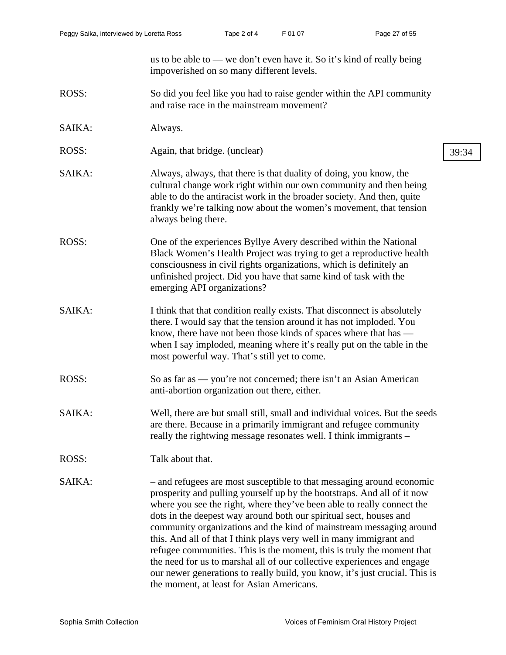us to be able to — we don't even have it. So it's kind of really being impoverished on so many different levels. ROSS: So did you feel like you had to raise gender within the API community and raise race in the mainstream movement? SAIKA: Always. ROSS: Again, that bridge. (unclear) 39:34 SAIKA: Always, always, that there is that duality of doing, you know, the cultural change work right within our own community and then being able to do the antiracist work in the broader society. And then, quite frankly we're talking now about the women's movement, that tension always being there. ROSS: One of the experiences Byllye Avery described within the National Black Women's Health Project was trying to get a reproductive health consciousness in civil rights organizations, which is definitely an unfinished project. Did you have that same kind of task with the emerging API organizations? SAIKA: I think that that condition really exists. That disconnect is absolutely there. I would say that the tension around it has not imploded. You know, there have not been those kinds of spaces where that has when I say imploded, meaning where it's really put on the table in the most powerful way. That's still yet to come. ROSS: So as far as — you're not concerned; there isn't an Asian American anti-abortion organization out there, either. SAIKA: Well, there are but small still, small and individual voices. But the seeds are there. Because in a primarily immigrant and refugee community really the rightwing message resonates well. I think immigrants – ROSS: Talk about that. SAIKA: – and refugees are most susceptible to that messaging around economic prosperity and pulling yourself up by the bootstraps. And all of it now where you see the right, where they've been able to really connect the dots in the deepest way around both our spiritual sect, houses and

community organizations and the kind of mainstream messaging around this. And all of that I think plays very well in many immigrant and refugee communities. This is the moment, this is truly the moment that the need for us to marshal all of our collective experiences and engage our newer generations to really build, you know, it's just crucial. This is the moment, at least for Asian Americans.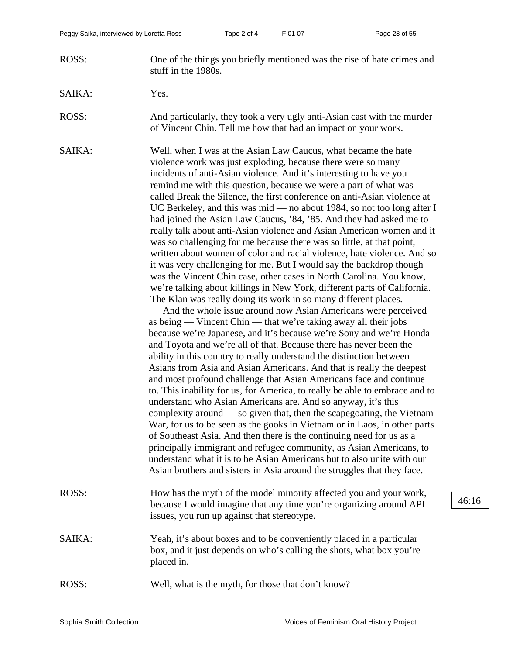- ROSS: One of the things you briefly mentioned was the rise of hate crimes and stuff in the 1980s.
- SAIKA: Yes.

ROSS: And particularly, they took a very ugly anti-Asian cast with the murder of Vincent Chin. Tell me how that had an impact on your work.

SAIKA: Well, when I was at the Asian Law Caucus, what became the hate violence work was just exploding, because there were so many incidents of anti-Asian violence. And it's interesting to have you remind me with this question, because we were a part of what was called Break the Silence, the first conference on anti-Asian violence at UC Berkeley, and this was mid — no about 1984, so not too long after I had joined the Asian Law Caucus, '84, '85. And they had asked me to really talk about anti-Asian violence and Asian American women and it was so challenging for me because there was so little, at that point, written about women of color and racial violence, hate violence. And so it was very challenging for me. But I would say the backdrop though was the Vincent Chin case, other cases in North Carolina. You know, we're talking about killings in New York, different parts of California. The Klan was really doing its work in so many different places.

> And the whole issue around how Asian Americans were perceived as being — Vincent Chin — that we're taking away all their jobs because we're Japanese, and it's because we're Sony and we're Honda and Toyota and we're all of that. Because there has never been the ability in this country to really understand the distinction between Asians from Asia and Asian Americans. And that is really the deepest and most profound challenge that Asian Americans face and continue to. This inability for us, for America, to really be able to embrace and to understand who Asian Americans are. And so anyway, it's this complexity around — so given that, then the scapegoating, the Vietnam War, for us to be seen as the gooks in Vietnam or in Laos, in other parts of Southeast Asia. And then there is the continuing need for us as a principally immigrant and refugee community, as Asian Americans, to understand what it is to be Asian Americans but to also unite with our Asian brothers and sisters in Asia around the struggles that they face.

- ROSS: How has the myth of the model minority affected you and your work, because I would imagine that any time you're organizing around API issues, you run up against that stereotype.
- SAIKA: Yeah, it's about boxes and to be conveniently placed in a particular box, and it just depends on who's calling the shots, what box you're placed in.
- ROSS: Well, what is the myth, for those that don't know?

46:16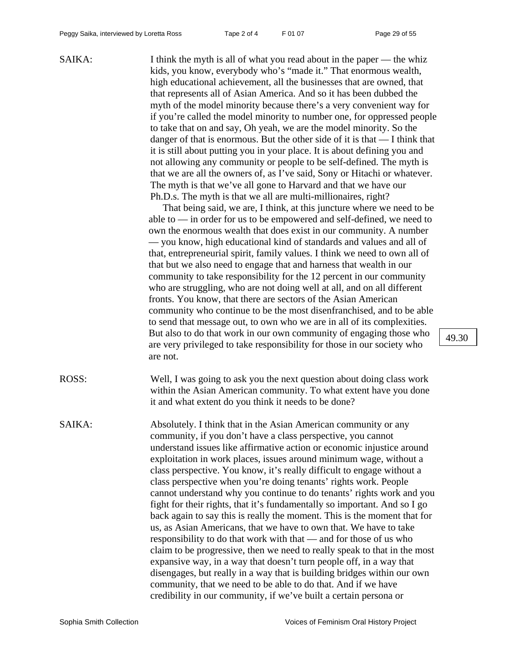SAIKA: I think the myth is all of what you read about in the paper — the whiz kids, you know, everybody who's "made it." That enormous wealth, high educational achievement, all the businesses that are owned, that that represents all of Asian America. And so it has been dubbed the myth of the model minority because there's a very convenient way for if you're called the model minority to number one, for oppressed people to take that on and say, Oh yeah, we are the model minority. So the danger of that is enormous. But the other side of it is that — I think that it is still about putting you in your place. It is about defining you and not allowing any community or people to be self-defined. The myth is that we are all the owners of, as I've said, Sony or Hitachi or whatever. The myth is that we've all gone to Harvard and that we have our Ph.D.s. The myth is that we all are multi-millionaires, right?

> That being said, we are, I think, at this juncture where we need to be able to — in order for us to be empowered and self-defined, we need to own the enormous wealth that does exist in our community. A number — you know, high educational kind of standards and values and all of that, entrepreneurial spirit, family values. I think we need to own all of that but we also need to engage that and harness that wealth in our community to take responsibility for the 12 percent in our community who are struggling, who are not doing well at all, and on all different fronts. You know, that there are sectors of the Asian American community who continue to be the most disenfranchised, and to be able to send that message out, to own who we are in all of its complexities. But also to do that work in our own community of engaging those who are very privileged to take responsibility for those in our society who are not.

ROSS: Well, I was going to ask you the next question about doing class work within the Asian American community. To what extent have you done it and what extent do you think it needs to be done?

SAIKA: Absolutely. I think that in the Asian American community or any community, if you don't have a class perspective, you cannot understand issues like affirmative action or economic injustice around exploitation in work places, issues around minimum wage, without a class perspective. You know, it's really difficult to engage without a class perspective when you're doing tenants' rights work. People cannot understand why you continue to do tenants' rights work and you fight for their rights, that it's fundamentally so important. And so I go back again to say this is really the moment. This is the moment that for us, as Asian Americans, that we have to own that. We have to take responsibility to do that work with that — and for those of us who claim to be progressive, then we need to really speak to that in the most expansive way, in a way that doesn't turn people off, in a way that disengages, but really in a way that is building bridges within our own community, that we need to be able to do that. And if we have credibility in our community, if we've built a certain persona or

49.30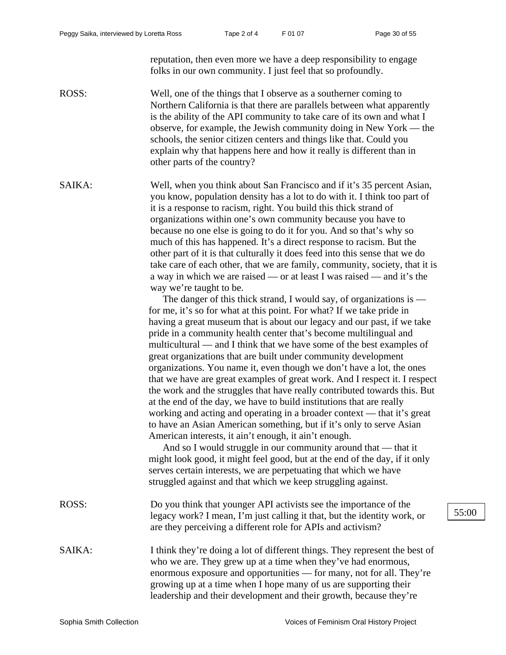reputation, then even more we have a deep responsibility to engage folks in our own community. I just feel that so profoundly.

ROSS: Well, one of the things that I observe as a southerner coming to Northern California is that there are parallels between what apparently is the ability of the API community to take care of its own and what I observe, for example, the Jewish community doing in New York — the schools, the senior citizen centers and things like that. Could you explain why that happens here and how it really is different than in other parts of the country?

SAIKA: Well, when you think about San Francisco and if it's 35 percent Asian, you know, population density has a lot to do with it. I think too part of it is a response to racism, right. You build this thick strand of organizations within one's own community because you have to because no one else is going to do it for you. And so that's why so much of this has happened. It's a direct response to racism. But the other part of it is that culturally it does feed into this sense that we do take care of each other, that we are family, community, society, that it is a way in which we are raised — or at least I was raised — and it's the way we're taught to be.

> The danger of this thick strand, I would say, of organizations is for me, it's so for what at this point. For what? If we take pride in having a great museum that is about our legacy and our past, if we take pride in a community health center that's become multilingual and multicultural — and I think that we have some of the best examples of great organizations that are built under community development organizations. You name it, even though we don't have a lot, the ones that we have are great examples of great work. And I respect it. I respect the work and the struggles that have really contributed towards this. But at the end of the day, we have to build institutions that are really working and acting and operating in a broader context — that it's great to have an Asian American something, but if it's only to serve Asian American interests, it ain't enough, it ain't enough.

And so I would struggle in our community around that — that it might look good, it might feel good, but at the end of the day, if it only serves certain interests, we are perpetuating that which we have struggled against and that which we keep struggling against.

- ROSS: Do you think that younger API activists see the importance of the legacy work? I mean, I'm just calling it that, but the identity work, or are they perceiving a different role for APIs and activism?
- SAIKA: I think they're doing a lot of different things. They represent the best of who we are. They grew up at a time when they've had enormous, enormous exposure and opportunities — for many, not for all. They're growing up at a time when I hope many of us are supporting their leadership and their development and their growth, because they're

55:00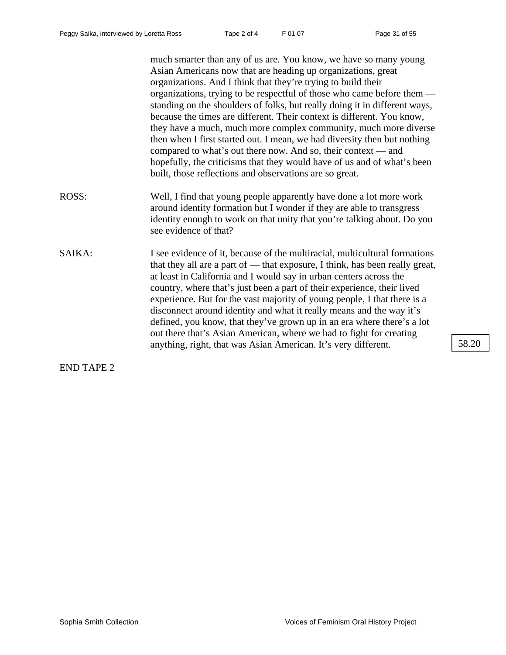much smarter than any of us are. You know, we have so many young Asian Americans now that are heading up organizations, great organizations. And I think that they're trying to build their organizations, trying to be respectful of those who came before them standing on the shoulders of folks, but really doing it in different ways, because the times are different. Their context is different. You know, they have a much, much more complex community, much more diverse then when I first started out. I mean, we had diversity then but nothing compared to what's out there now. And so, their context — and hopefully, the criticisms that they would have of us and of what's been built, those reflections and observations are so great. ROSS: Well, I find that young people apparently have done a lot more work around identity formation but I wonder if they are able to transgress identity enough to work on that unity that you're talking about. Do you see evidence of that? SAIKA: I see evidence of it, because of the multiracial, multicultural formations that they all are a part of — that exposure, I think, has been really great, at least in California and I would say in urban centers across the country, where that's just been a part of their experience, their lived experience. But for the vast majority of young people, I that there is a disconnect around identity and what it really means and the way it's defined, you know, that they've grown up in an era where there's a lot out there that's Asian American, where we had to fight for creating anything, right, that was Asian American. It's very different. 58.20

END TAPE 2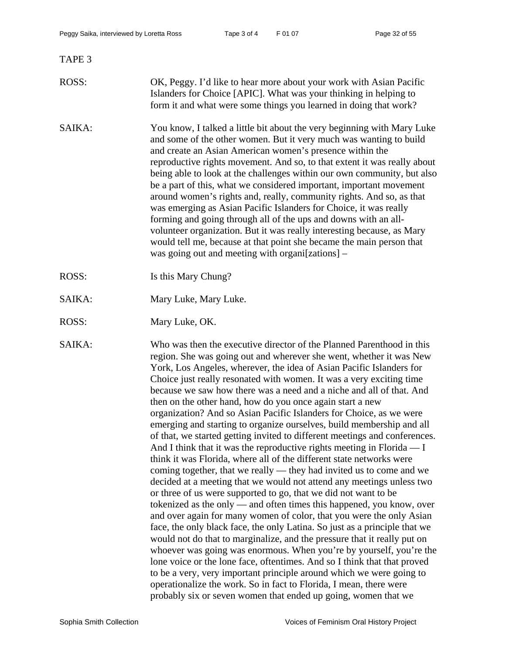# ROSS: OK, Peggy. I'd like to hear more about your work with Asian Pacific Islanders for Choice [APIC]. What was your thinking in helping to form it and what were some things you learned in doing that work?

- SAIKA: You know, I talked a little bit about the very beginning with Mary Luke and some of the other women. But it very much was wanting to build and create an Asian American women's presence within the reproductive rights movement. And so, to that extent it was really about being able to look at the challenges within our own community, but also be a part of this, what we considered important, important movement around women's rights and, really, community rights. And so, as that was emerging as Asian Pacific Islanders for Choice, it was really forming and going through all of the ups and downs with an allvolunteer organization. But it was really interesting because, as Mary would tell me, because at that point she became the main person that was going out and meeting with organi[zations] –
- ROSS: Is this Mary Chung?
- SAIKA: Mary Luke, Mary Luke.
- ROSS: Mary Luke, OK.

SAIKA: Who was then the executive director of the Planned Parenthood in this region. She was going out and wherever she went, whether it was New York, Los Angeles, wherever, the idea of Asian Pacific Islanders for Choice just really resonated with women. It was a very exciting time because we saw how there was a need and a niche and all of that. And then on the other hand, how do you once again start a new organization? And so Asian Pacific Islanders for Choice, as we were emerging and starting to organize ourselves, build membership and all of that, we started getting invited to different meetings and conferences. And I think that it was the reproductive rights meeting in Florida — I think it was Florida, where all of the different state networks were coming together, that we really — they had invited us to come and we decided at a meeting that we would not attend any meetings unless two or three of us were supported to go, that we did not want to be tokenized as the only — and often times this happened, you know, over and over again for many women of color, that you were the only Asian face, the only black face, the only Latina. So just as a principle that we would not do that to marginalize, and the pressure that it really put on whoever was going was enormous. When you're by yourself, you're the lone voice or the lone face, oftentimes. And so I think that that proved to be a very, very important principle around which we were going to operationalize the work. So in fact to Florida, I mean, there were probably six or seven women that ended up going, women that we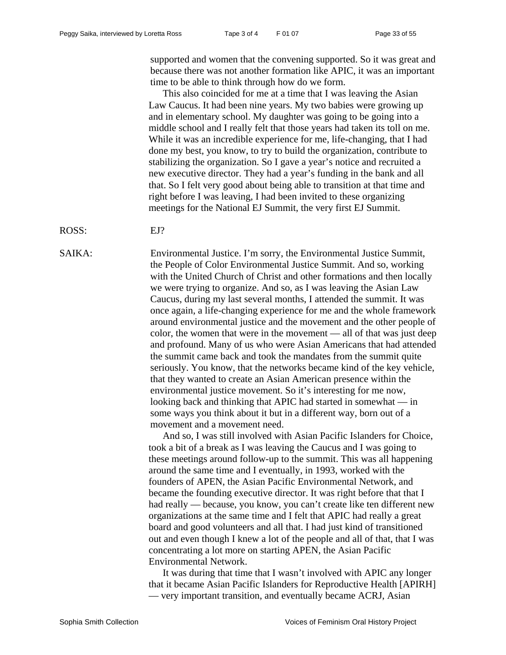supported and women that the convening supported. So it was great and because there was not another formation like APIC, it was an important time to be able to think through how do we form.

This also coincided for me at a time that I was leaving the Asian Law Caucus. It had been nine years. My two babies were growing up and in elementary school. My daughter was going to be going into a middle school and I really felt that those years had taken its toll on me. While it was an incredible experience for me, life-changing, that I had done my best, you know, to try to build the organization, contribute to stabilizing the organization. So I gave a year's notice and recruited a new executive director. They had a year's funding in the bank and all that. So I felt very good about being able to transition at that time and right before I was leaving, I had been invited to these organizing meetings for the National EJ Summit, the very first EJ Summit.

ROSS: EJ?

SAIKA: Environmental Justice. I'm sorry, the Environmental Justice Summit, the People of Color Environmental Justice Summit. And so, working with the United Church of Christ and other formations and then locally we were trying to organize. And so, as I was leaving the Asian Law Caucus, during my last several months, I attended the summit. It was once again, a life-changing experience for me and the whole framework around environmental justice and the movement and the other people of color, the women that were in the movement — all of that was just deep and profound. Many of us who were Asian Americans that had attended the summit came back and took the mandates from the summit quite seriously. You know, that the networks became kind of the key vehicle, that they wanted to create an Asian American presence within the environmental justice movement. So it's interesting for me now, looking back and thinking that APIC had started in somewhat — in some ways you think about it but in a different way, born out of a movement and a movement need.

> And so, I was still involved with Asian Pacific Islanders for Choice, took a bit of a break as I was leaving the Caucus and I was going to these meetings around follow-up to the summit. This was all happening around the same time and I eventually, in 1993, worked with the founders of APEN, the Asian Pacific Environmental Network, and became the founding executive director. It was right before that that I had really — because, you know, you can't create like ten different new organizations at the same time and I felt that APIC had really a great board and good volunteers and all that. I had just kind of transitioned out and even though I knew a lot of the people and all of that, that I was concentrating a lot more on starting APEN, the Asian Pacific Environmental Network.

> It was during that time that I wasn't involved with APIC any longer that it became Asian Pacific Islanders for Reproductive Health [APIRH] — very important transition, and eventually became ACRJ, Asian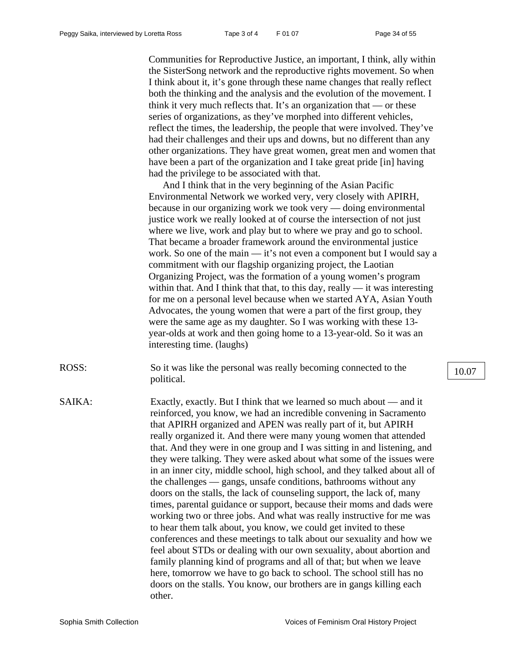Communities for Reproductive Justice, an important, I think, ally within the SisterSong network and the reproductive rights movement. So when I think about it, it's gone through these name changes that really reflect both the thinking and the analysis and the evolution of the movement. I think it very much reflects that. It's an organization that  $\sim$  or these series of organizations, as they've morphed into different vehicles, reflect the times, the leadership, the people that were involved. They've had their challenges and their ups and downs, but no different than any other organizations. They have great women, great men and women that have been a part of the organization and I take great pride [in] having had the privilege to be associated with that.

And I think that in the very beginning of the Asian Pacific Environmental Network we worked very, very closely with APIRH, because in our organizing work we took very — doing environmental justice work we really looked at of course the intersection of not just where we live, work and play but to where we pray and go to school. That became a broader framework around the environmental justice work. So one of the main — it's not even a component but I would say a commitment with our flagship organizing project, the Laotian Organizing Project, was the formation of a young women's program within that. And I think that that, to this day, really — it was interesting for me on a personal level because when we started AYA, Asian Youth Advocates, the young women that were a part of the first group, they were the same age as my daughter. So I was working with these 13 year-olds at work and then going home to a 13-year-old. So it was an interesting time. (laughs)

- ROSS: So it was like the personal was really becoming connected to the political.
- SAIKA: Exactly, exactly. But I think that we learned so much about and it reinforced, you know, we had an incredible convening in Sacramento that APIRH organized and APEN was really part of it, but APIRH really organized it. And there were many young women that attended that. And they were in one group and I was sitting in and listening, and they were talking. They were asked about what some of the issues were in an inner city, middle school, high school, and they talked about all of the challenges — gangs, unsafe conditions, bathrooms without any doors on the stalls, the lack of counseling support, the lack of, many times, parental guidance or support, because their moms and dads were working two or three jobs. And what was really instructive for me was to hear them talk about, you know, we could get invited to these conferences and these meetings to talk about our sexuality and how we feel about STDs or dealing with our own sexuality, about abortion and family planning kind of programs and all of that; but when we leave here, tomorrow we have to go back to school. The school still has no doors on the stalls. You know, our brothers are in gangs killing each other.

10.07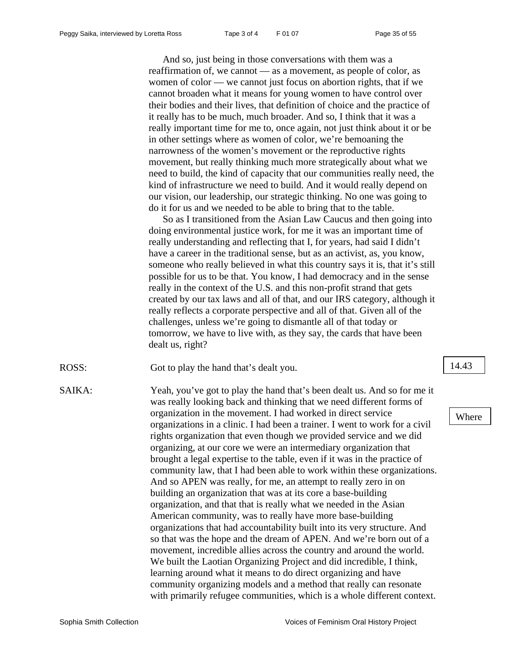And so, just being in those conversations with them was a reaffirmation of, we cannot — as a movement, as people of color, as women of color — we cannot just focus on abortion rights, that if we cannot broaden what it means for young women to have control over their bodies and their lives, that definition of choice and the practice of it really has to be much, much broader. And so, I think that it was a really important time for me to, once again, not just think about it or be in other settings where as women of color, we're bemoaning the narrowness of the women's movement or the reproductive rights movement, but really thinking much more strategically about what we need to build, the kind of capacity that our communities really need, the kind of infrastructure we need to build. And it would really depend on our vision, our leadership, our strategic thinking. No one was going to do it for us and we needed to be able to bring that to the table.

So as I transitioned from the Asian Law Caucus and then going into doing environmental justice work, for me it was an important time of really understanding and reflecting that I, for years, had said I didn't have a career in the traditional sense, but as an activist, as, you know, someone who really believed in what this country says it is, that it's still possible for us to be that. You know, I had democracy and in the sense really in the context of the U.S. and this non-profit strand that gets created by our tax laws and all of that, and our IRS category, although it really reflects a corporate perspective and all of that. Given all of the challenges, unless we're going to dismantle all of that today or tomorrow, we have to live with, as they say, the cards that have been dealt us, right?

ROSS: Got to play the hand that's dealt you. 14.43

SAIKA: Yeah, you've got to play the hand that's been dealt us. And so for me it was really looking back and thinking that we need different forms of organization in the movement. I had worked in direct service organizations in a clinic. I had been a trainer. I went to work for a civil rights organization that even though we provided service and we did organizing, at our core we were an intermediary organization that brought a legal expertise to the table, even if it was in the practice of community law, that I had been able to work within these organizations. And so APEN was really, for me, an attempt to really zero in on building an organization that was at its core a base-building organization, and that that is really what we needed in the Asian American community, was to really have more base-building organizations that had accountability built into its very structure. And so that was the hope and the dream of APEN. And we're born out of a movement, incredible allies across the country and around the world. We built the Laotian Organizing Project and did incredible, I think, learning around what it means to do direct organizing and have community organizing models and a method that really can resonate with primarily refugee communities, which is a whole different context.

### Where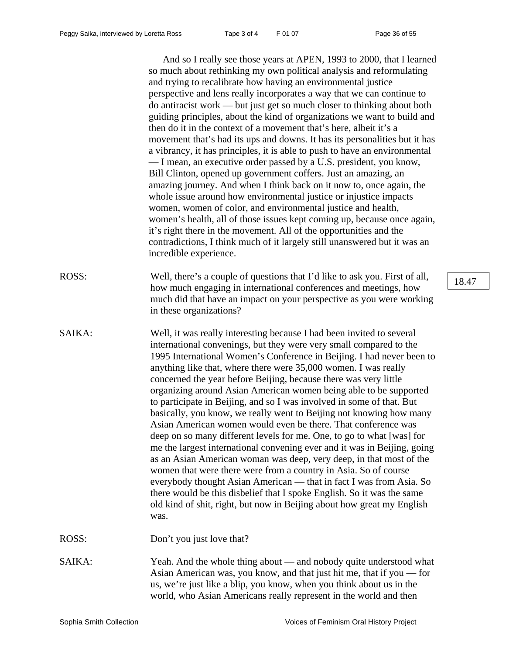And so I really see those years at APEN, 1993 to 2000, that I learned so much about rethinking my own political analysis and reformulating and trying to recalibrate how having an environmental justice perspective and lens really incorporates a way that we can continue to do antiracist work — but just get so much closer to thinking about both guiding principles, about the kind of organizations we want to build and then do it in the context of a movement that's here, albeit it's a movement that's had its ups and downs. It has its personalities but it has a vibrancy, it has principles, it is able to push to have an environmental — I mean, an executive order passed by a U.S. president, you know, Bill Clinton, opened up government coffers. Just an amazing, an amazing journey. And when I think back on it now to, once again, the whole issue around how environmental justice or injustice impacts women, women of color, and environmental justice and health, women's health, all of those issues kept coming up, because once again, it's right there in the movement. All of the opportunities and the contradictions, I think much of it largely still unanswered but it was an incredible experience.

- ROSS: Well, there's a couple of questions that I'd like to ask you. First of all, how much engaging in international conferences and meetings, how much did that have an impact on your perspective as you were working in these organizations?
- SAIKA: Well, it was really interesting because I had been invited to several international convenings, but they were very small compared to the 1995 International Women's Conference in Beijing. I had never been to anything like that, where there were 35,000 women. I was really concerned the year before Beijing, because there was very little organizing around Asian American women being able to be supported to participate in Beijing, and so I was involved in some of that. But basically, you know, we really went to Beijing not knowing how many Asian American women would even be there. That conference was deep on so many different levels for me. One, to go to what [was] for me the largest international convening ever and it was in Beijing, going as an Asian American woman was deep, very deep, in that most of the women that were there were from a country in Asia. So of course everybody thought Asian American — that in fact I was from Asia. So there would be this disbelief that I spoke English. So it was the same old kind of shit, right, but now in Beijing about how great my English was.

ROSS: Don't you just love that?

SAIKA: Yeah. And the whole thing about — and nobody quite understood what Asian American was, you know, and that just hit me, that if you — for us, we're just like a blip, you know, when you think about us in the world, who Asian Americans really represent in the world and then

18.47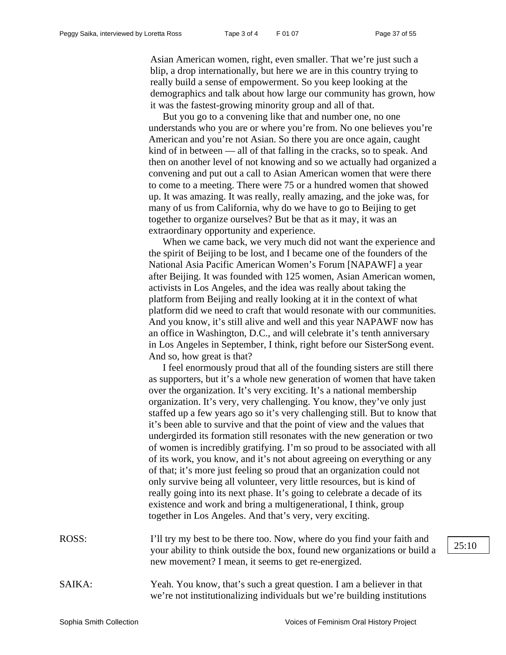Asian American women, right, even smaller. That we're just such a blip, a drop internationally, but here we are in this country trying to really build a sense of empowerment. So you keep looking at the demographics and talk about how large our community has grown, how it was the fastest-growing minority group and all of that.

But you go to a convening like that and number one, no one understands who you are or where you're from. No one believes you're American and you're not Asian. So there you are once again, caught kind of in between — all of that falling in the cracks, so to speak. And then on another level of not knowing and so we actually had organized a convening and put out a call to Asian American women that were there to come to a meeting. There were 75 or a hundred women that showed up. It was amazing. It was really, really amazing, and the joke was, for many of us from California, why do we have to go to Beijing to get together to organize ourselves? But be that as it may, it was an extraordinary opportunity and experience.

When we came back, we very much did not want the experience and the spirit of Beijing to be lost, and I became one of the founders of the National Asia Pacific American Women's Forum [NAPAWF] a year after Beijing. It was founded with 125 women, Asian American women, activists in Los Angeles, and the idea was really about taking the platform from Beijing and really looking at it in the context of what platform did we need to craft that would resonate with our communities. And you know, it's still alive and well and this year NAPAWF now has an office in Washington, D.C., and will celebrate it's tenth anniversary in Los Angeles in September, I think, right before our SisterSong event. And so, how great is that?

I feel enormously proud that all of the founding sisters are still there as supporters, but it's a whole new generation of women that have taken over the organization. It's very exciting. It's a national membership organization. It's very, very challenging. You know, they've only just staffed up a few years ago so it's very challenging still. But to know that it's been able to survive and that the point of view and the values that undergirded its formation still resonates with the new generation or two of women is incredibly gratifying. I'm so proud to be associated with all of its work, you know, and it's not about agreeing on everything or any of that; it's more just feeling so proud that an organization could not only survive being all volunteer, very little resources, but is kind of really going into its next phase. It's going to celebrate a decade of its existence and work and bring a multigenerational, I think, group together in Los Angeles. And that's very, very exciting.

ROSS: I'll try my best to be there too. Now, where do you find your faith and your ability to think outside the box, found new organizations or build a new movement? I mean, it seems to get re-energized.

SAIKA: Yeah. You know, that's such a great question. I am a believer in that we're not institutionalizing individuals but we're building institutions  $25:10$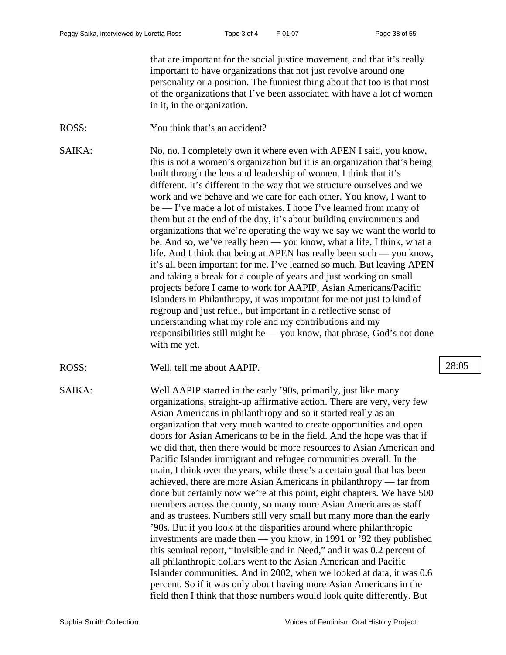that are important for the social justice movement, and that it's really important to have organizations that not just revolve around one personality or a position. The funniest thing about that too is that most of the organizations that I've been associated with have a lot of women in it, in the organization.

ROSS: You think that's an accident?

SAIKA: No, no. I completely own it where even with APEN I said, you know, this is not a women's organization but it is an organization that's being built through the lens and leadership of women. I think that it's different. It's different in the way that we structure ourselves and we work and we behave and we care for each other. You know, I want to be — I've made a lot of mistakes. I hope I've learned from many of them but at the end of the day, it's about building environments and organizations that we're operating the way we say we want the world to be. And so, we've really been — you know, what a life, I think, what a life. And I think that being at APEN has really been such — you know, it's all been important for me. I've learned so much. But leaving APEN and taking a break for a couple of years and just working on small projects before I came to work for AAPIP, Asian Americans/Pacific Islanders in Philanthropy, it was important for me not just to kind of regroup and just refuel, but important in a reflective sense of understanding what my role and my contributions and my responsibilities still might be — you know, that phrase, God's not done with me yet.

ROSS: Well, tell me about AAPIP. 28:05

SAIKA: Well AAPIP started in the early '90s, primarily, just like many organizations, straight-up affirmative action. There are very, very few Asian Americans in philanthropy and so it started really as an organization that very much wanted to create opportunities and open doors for Asian Americans to be in the field. And the hope was that if we did that, then there would be more resources to Asian American and Pacific Islander immigrant and refugee communities overall. In the main, I think over the years, while there's a certain goal that has been achieved, there are more Asian Americans in philanthropy — far from done but certainly now we're at this point, eight chapters. We have 500 members across the county, so many more Asian Americans as staff and as trustees. Numbers still very small but many more than the early '90s. But if you look at the disparities around where philanthropic investments are made then — you know, in 1991 or '92 they published this seminal report, "Invisible and in Need," and it was 0.2 percent of all philanthropic dollars went to the Asian American and Pacific Islander communities. And in 2002, when we looked at data, it was 0.6 percent. So if it was only about having more Asian Americans in the field then I think that those numbers would look quite differently. But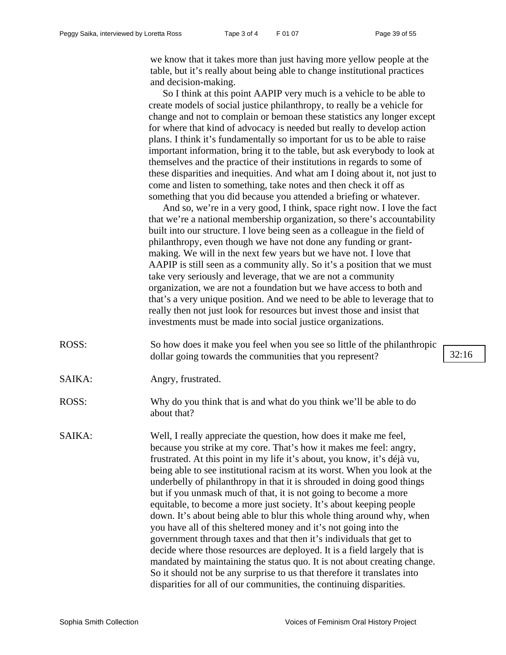we know that it takes more than just having more yellow people at the table, but it's really about being able to change institutional practices and decision-making.

So I think at this point AAPIP very much is a vehicle to be able to create models of social justice philanthropy, to really be a vehicle for change and not to complain or bemoan these statistics any longer except for where that kind of advocacy is needed but really to develop action plans. I think it's fundamentally so important for us to be able to raise important information, bring it to the table, but ask everybody to look at themselves and the practice of their institutions in regards to some of these disparities and inequities. And what am I doing about it, not just to come and listen to something, take notes and then check it off as something that you did because you attended a briefing or whatever.

And so, we're in a very good, I think, space right now. I love the fact that we're a national membership organization, so there's accountability built into our structure. I love being seen as a colleague in the field of philanthropy, even though we have not done any funding or grantmaking. We will in the next few years but we have not. I love that AAPIP is still seen as a community ally. So it's a position that we must take very seriously and leverage, that we are not a community organization, we are not a foundation but we have access to both and that's a very unique position. And we need to be able to leverage that to really then not just look for resources but invest those and insist that investments must be made into social justice organizations.

- ROSS: So how does it make you feel when you see so little of the philanthropic dollar going towards the communities that you represent? 32:16
- SAIKA: Angry, frustrated.
- ROSS: Why do you think that is and what do you think we'll be able to do about that?
- SAIKA: Well, I really appreciate the question, how does it make me feel, because you strike at my core. That's how it makes me feel: angry, frustrated. At this point in my life it's about, you know, it's déjà vu, being able to see institutional racism at its worst. When you look at the underbelly of philanthropy in that it is shrouded in doing good things but if you unmask much of that, it is not going to become a more equitable, to become a more just society. It's about keeping people down. It's about being able to blur this whole thing around why, when you have all of this sheltered money and it's not going into the government through taxes and that then it's individuals that get to decide where those resources are deployed. It is a field largely that is mandated by maintaining the status quo. It is not about creating change. So it should not be any surprise to us that therefore it translates into disparities for all of our communities, the continuing disparities.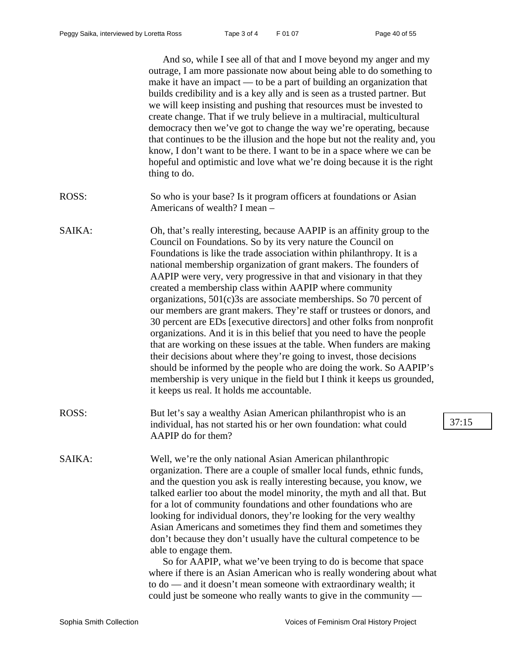And so, while I see all of that and I move beyond my anger and my outrage, I am more passionate now about being able to do something to make it have an impact — to be a part of building an organization that builds credibility and is a key ally and is seen as a trusted partner. But we will keep insisting and pushing that resources must be invested to create change. That if we truly believe in a multiracial, multicultural democracy then we've got to change the way we're operating, because that continues to be the illusion and the hope but not the reality and, you know, I don't want to be there. I want to be in a space where we can be hopeful and optimistic and love what we're doing because it is the right thing to do.

- ROSS: So who is your base? Is it program officers at foundations or Asian Americans of wealth? I mean –
- SAIKA: Oh, that's really interesting, because AAPIP is an affinity group to the Council on Foundations. So by its very nature the Council on Foundations is like the trade association within philanthropy. It is a national membership organization of grant makers. The founders of AAPIP were very, very progressive in that and visionary in that they created a membership class within AAPIP where community organizations, 501(c)3s are associate memberships. So 70 percent of our members are grant makers. They're staff or trustees or donors, and 30 percent are EDs [executive directors] and other folks from nonprofit organizations. And it is in this belief that you need to have the people that are working on these issues at the table. When funders are making their decisions about where they're going to invest, those decisions should be informed by the people who are doing the work. So AAPIP's membership is very unique in the field but I think it keeps us grounded, it keeps us real. It holds me accountable.
- ROSS: But let's say a wealthy Asian American philanthropist who is an individual, has not started his or her own foundation: what could AAPIP do for them?

SAIKA: Well, we're the only national Asian American philanthropic organization. There are a couple of smaller local funds, ethnic funds, and the question you ask is really interesting because, you know, we talked earlier too about the model minority, the myth and all that. But for a lot of community foundations and other foundations who are looking for individual donors, they're looking for the very wealthy Asian Americans and sometimes they find them and sometimes they don't because they don't usually have the cultural competence to be able to engage them.

> So for AAPIP, what we've been trying to do is become that space where if there is an Asian American who is really wondering about what to do — and it doesn't mean someone with extraordinary wealth; it could just be someone who really wants to give in the community —

37:15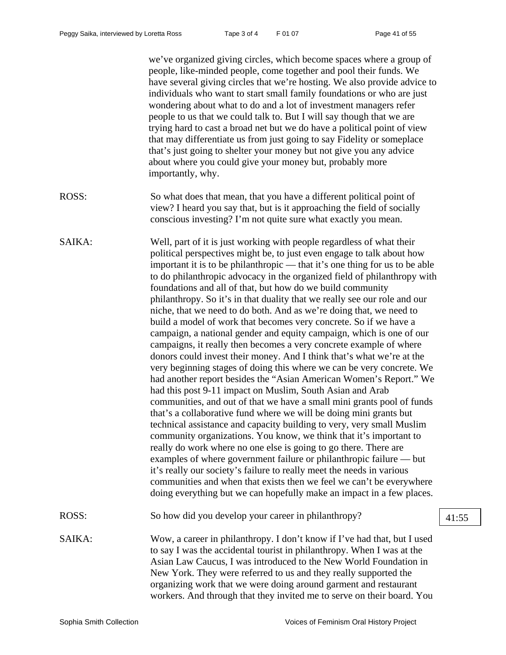we've organized giving circles, which become spaces where a group of people, like-minded people, come together and pool their funds. We have several giving circles that we're hosting. We also provide advice to individuals who want to start small family foundations or who are just wondering about what to do and a lot of investment managers refer people to us that we could talk to. But I will say though that we are trying hard to cast a broad net but we do have a political point of view that may differentiate us from just going to say Fidelity or someplace that's just going to shelter your money but not give you any advice about where you could give your money but, probably more importantly, why. ROSS: So what does that mean, that you have a different political point of view? I heard you say that, but is it approaching the field of socially conscious investing? I'm not quite sure what exactly you mean. SAIKA: Well, part of it is just working with people regardless of what their political perspectives might be, to just even engage to talk about how important it is to be philanthropic — that it's one thing for us to be able to do philanthropic advocacy in the organized field of philanthropy with foundations and all of that, but how do we build community philanthropy. So it's in that duality that we really see our role and our niche, that we need to do both. And as we're doing that, we need to build a model of work that becomes very concrete. So if we have a campaign, a national gender and equity campaign, which is one of our campaigns, it really then becomes a very concrete example of where donors could invest their money. And I think that's what we're at the very beginning stages of doing this where we can be very concrete. We had another report besides the "Asian American Women's Report." We had this post 9-11 impact on Muslim, South Asian and Arab communities, and out of that we have a small mini grants pool of funds that's a collaborative fund where we will be doing mini grants but technical assistance and capacity building to very, very small Muslim community organizations. You know, we think that it's important to really do work where no one else is going to go there. There are examples of where government failure or philanthropic failure — but it's really our society's failure to really meet the needs in various communities and when that exists then we feel we can't be everywhere doing everything but we can hopefully make an impact in a few places. ROSS: So how did you develop your career in philanthropy? 41:55 SAIKA: Wow, a career in philanthropy. I don't know if I've had that, but I used to say I was the accidental tourist in philanthropy. When I was at the Asian Law Caucus, I was introduced to the New World Foundation in New York. They were referred to us and they really supported the organizing work that we were doing around garment and restaurant workers. And through that they invited me to serve on their board. You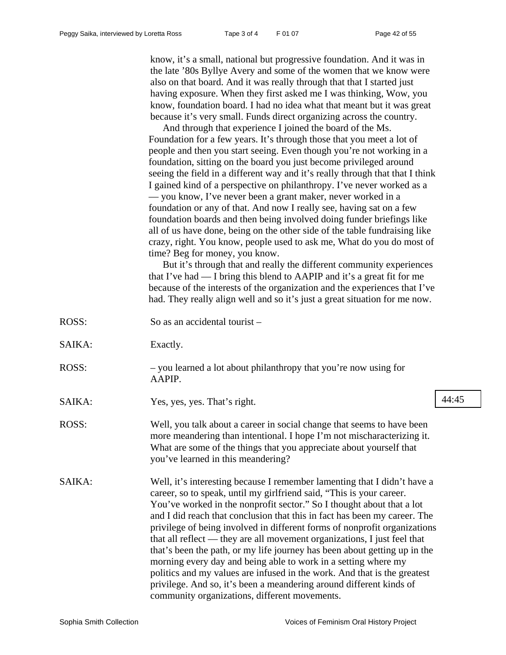know, it's a small, national but progressive foundation. And it was in the late '80s Byllye Avery and some of the women that we know were also on that board. And it was really through that that I started just having exposure. When they first asked me I was thinking, Wow, you know, foundation board. I had no idea what that meant but it was great because it's very small. Funds direct organizing across the country.

And through that experience I joined the board of the Ms. Foundation for a few years. It's through those that you meet a lot of people and then you start seeing. Even though you're not working in a foundation, sitting on the board you just become privileged around seeing the field in a different way and it's really through that that I think I gained kind of a perspective on philanthropy. I've never worked as a — you know, I've never been a grant maker, never worked in a foundation or any of that. And now I really see, having sat on a few foundation boards and then being involved doing funder briefings like all of us have done, being on the other side of the table fundraising like crazy, right. You know, people used to ask me, What do you do most of time? Beg for money, you know.

But it's through that and really the different community experiences that I've had — I bring this blend to AAPIP and it's a great fit for me because of the interests of the organization and the experiences that I've had. They really align well and so it's just a great situation for me now.

| ROSS:  | So as an accidental tourist $-$                                  |
|--------|------------------------------------------------------------------|
| SAIKA: | Exactly.                                                         |
| ROSS:  | - you learned a lot about philanthropy that you're now using for |

- AAPIP.
- SAIKA: Yes, yes, yes. That's right. 44:45
- ROSS: Well, you talk about a career in social change that seems to have been more meandering than intentional. I hope I'm not mischaracterizing it. What are some of the things that you appreciate about yourself that you've learned in this meandering?
- SAIKA: Well, it's interesting because I remember lamenting that I didn't have a career, so to speak, until my girlfriend said, "This is your career. You've worked in the nonprofit sector." So I thought about that a lot and I did reach that conclusion that this in fact has been my career. The privilege of being involved in different forms of nonprofit organizations that all reflect — they are all movement organizations, I just feel that that's been the path, or my life journey has been about getting up in the morning every day and being able to work in a setting where my politics and my values are infused in the work. And that is the greatest privilege. And so, it's been a meandering around different kinds of community organizations, different movements.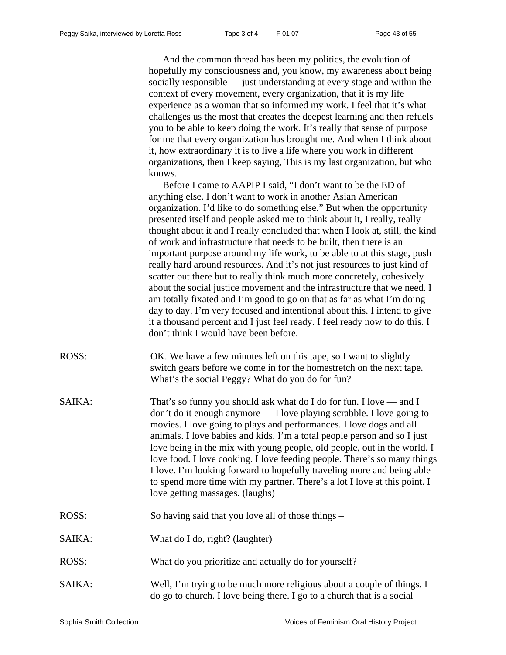And the common thread has been my politics, the evolution of hopefully my consciousness and, you know, my awareness about being socially responsible — just understanding at every stage and within the context of every movement, every organization, that it is my life experience as a woman that so informed my work. I feel that it's what challenges us the most that creates the deepest learning and then refuels you to be able to keep doing the work. It's really that sense of purpose for me that every organization has brought me. And when I think about it, how extraordinary it is to live a life where you work in different organizations, then I keep saying, This is my last organization, but who knows.

Before I came to AAPIP I said, "I don't want to be the ED of anything else. I don't want to work in another Asian American organization. I'd like to do something else." But when the opportunity presented itself and people asked me to think about it, I really, really thought about it and I really concluded that when I look at, still, the kind of work and infrastructure that needs to be built, then there is an important purpose around my life work, to be able to at this stage, push really hard around resources. And it's not just resources to just kind of scatter out there but to really think much more concretely, cohesively about the social justice movement and the infrastructure that we need. I am totally fixated and I'm good to go on that as far as what I'm doing day to day. I'm very focused and intentional about this. I intend to give it a thousand percent and I just feel ready. I feel ready now to do this. I don't think I would have been before.

- ROSS: OK. We have a few minutes left on this tape, so I want to slightly switch gears before we come in for the homestretch on the next tape. What's the social Peggy? What do you do for fun?
- SAIKA: That's so funny you should ask what do I do for fun. I love and I don't do it enough anymore — I love playing scrabble. I love going to movies. I love going to plays and performances. I love dogs and all animals. I love babies and kids. I'm a total people person and so I just love being in the mix with young people, old people, out in the world. I love food. I love cooking. I love feeding people. There's so many things I love. I'm looking forward to hopefully traveling more and being able to spend more time with my partner. There's a lot I love at this point. I love getting massages. (laughs)
- ROSS: So having said that you love all of those things –
- SAIKA: What do I do, right? (laughter)
- ROSS: What do you prioritize and actually do for yourself?
- SAIKA: Well, I'm trying to be much more religious about a couple of things. I do go to church. I love being there. I go to a church that is a social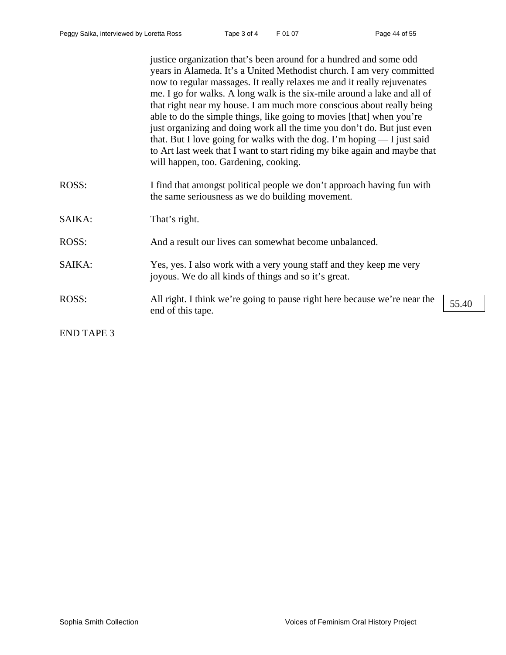|                   | justice organization that's been around for a hundred and some odd<br>years in Alameda. It's a United Methodist church. I am very committed<br>now to regular massages. It really relaxes me and it really rejuvenates<br>me. I go for walks. A long walk is the six-mile around a lake and all of<br>that right near my house. I am much more conscious about really being<br>able to do the simple things, like going to movies [that] when you're<br>just organizing and doing work all the time you don't do. But just even<br>that. But I love going for walks with the dog. I'm hoping $- I$ just said<br>to Art last week that I want to start riding my bike again and maybe that<br>will happen, too. Gardening, cooking. |  |
|-------------------|------------------------------------------------------------------------------------------------------------------------------------------------------------------------------------------------------------------------------------------------------------------------------------------------------------------------------------------------------------------------------------------------------------------------------------------------------------------------------------------------------------------------------------------------------------------------------------------------------------------------------------------------------------------------------------------------------------------------------------|--|
| ROSS:             | I find that amongst political people we don't approach having fun with<br>the same seriousness as we do building movement.                                                                                                                                                                                                                                                                                                                                                                                                                                                                                                                                                                                                         |  |
| SAIKA:            | That's right.                                                                                                                                                                                                                                                                                                                                                                                                                                                                                                                                                                                                                                                                                                                      |  |
| ROSS:             | And a result our lives can somewhat become unbalanced.                                                                                                                                                                                                                                                                                                                                                                                                                                                                                                                                                                                                                                                                             |  |
| SAIKA:            | Yes, yes. I also work with a very young staff and they keep me very<br>joyous. We do all kinds of things and so it's great.                                                                                                                                                                                                                                                                                                                                                                                                                                                                                                                                                                                                        |  |
| ROSS:             | All right. I think we're going to pause right here because we're near the<br>55.40<br>end of this tape.                                                                                                                                                                                                                                                                                                                                                                                                                                                                                                                                                                                                                            |  |
| <b>END TAPE 3</b> |                                                                                                                                                                                                                                                                                                                                                                                                                                                                                                                                                                                                                                                                                                                                    |  |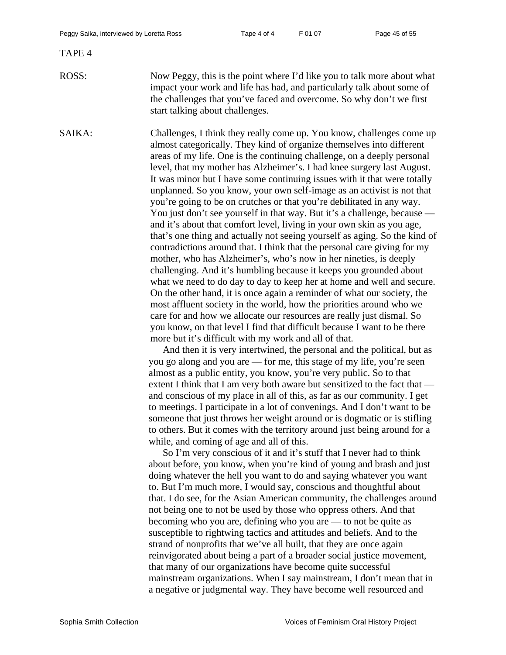### TAPE 4

ROSS: Now Peggy, this is the point where I'd like you to talk more about what impact your work and life has had, and particularly talk about some of the challenges that you've faced and overcome. So why don't we first start talking about challenges.

SAIKA: Challenges, I think they really come up. You know, challenges come up almost categorically. They kind of organize themselves into different areas of my life. One is the continuing challenge, on a deeply personal level, that my mother has Alzheimer's. I had knee surgery last August. It was minor but I have some continuing issues with it that were totally unplanned. So you know, your own self-image as an activist is not that you're going to be on crutches or that you're debilitated in any way. You just don't see yourself in that way. But it's a challenge, because and it's about that comfort level, living in your own skin as you age, that's one thing and actually not seeing yourself as aging. So the kind of contradictions around that. I think that the personal care giving for my mother, who has Alzheimer's, who's now in her nineties, is deeply challenging. And it's humbling because it keeps you grounded about what we need to do day to day to keep her at home and well and secure. On the other hand, it is once again a reminder of what our society, the most affluent society in the world, how the priorities around who we care for and how we allocate our resources are really just dismal. So you know, on that level I find that difficult because I want to be there more but it's difficult with my work and all of that.

> And then it is very intertwined, the personal and the political, but as you go along and you are — for me, this stage of my life, you're seen almost as a public entity, you know, you're very public. So to that extent I think that I am very both aware but sensitized to the fact that and conscious of my place in all of this, as far as our community. I get to meetings. I participate in a lot of convenings. And I don't want to be someone that just throws her weight around or is dogmatic or is stifling to others. But it comes with the territory around just being around for a while, and coming of age and all of this.

So I'm very conscious of it and it's stuff that I never had to think about before, you know, when you're kind of young and brash and just doing whatever the hell you want to do and saying whatever you want to. But I'm much more, I would say, conscious and thoughtful about that. I do see, for the Asian American community, the challenges around not being one to not be used by those who oppress others. And that becoming who you are, defining who you are — to not be quite as susceptible to rightwing tactics and attitudes and beliefs. And to the strand of nonprofits that we've all built, that they are once again reinvigorated about being a part of a broader social justice movement, that many of our organizations have become quite successful mainstream organizations. When I say mainstream, I don't mean that in a negative or judgmental way. They have become well resourced and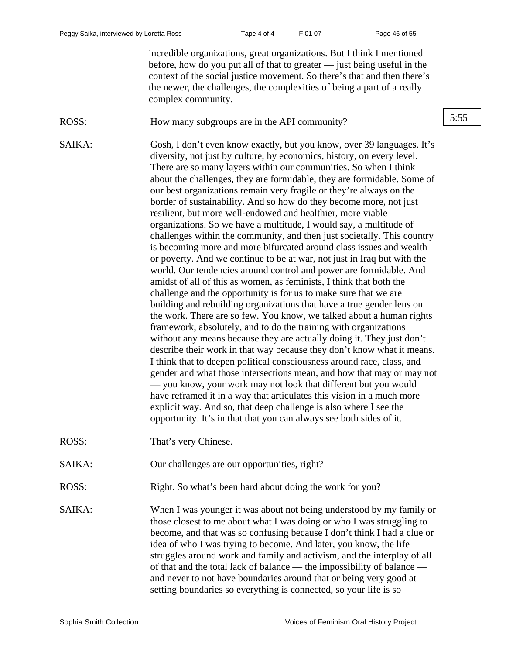incredible organizations, great organizations. But I think I mentioned before, how do you put all of that to greater — just being useful in the context of the social justice movement. So there's that and then there's the newer, the challenges, the complexities of being a part of a really complex community.

ROSS: How many subgroups are in the API community? 5:55

SAIKA: Gosh, I don't even know exactly, but you know, over 39 languages. It's diversity, not just by culture, by economics, history, on every level. There are so many layers within our communities. So when I think about the challenges, they are formidable, they are formidable. Some of our best organizations remain very fragile or they're always on the border of sustainability. And so how do they become more, not just resilient, but more well-endowed and healthier, more viable organizations. So we have a multitude, I would say, a multitude of challenges within the community, and then just societally. This country is becoming more and more bifurcated around class issues and wealth or poverty. And we continue to be at war, not just in Iraq but with the world. Our tendencies around control and power are formidable. And amidst of all of this as women, as feminists, I think that both the challenge and the opportunity is for us to make sure that we are building and rebuilding organizations that have a true gender lens on the work. There are so few. You know, we talked about a human rights framework, absolutely, and to do the training with organizations without any means because they are actually doing it. They just don't describe their work in that way because they don't know what it means. I think that to deepen political consciousness around race, class, and gender and what those intersections mean, and how that may or may not — you know, your work may not look that different but you would have reframed it in a way that articulates this vision in a much more explicit way. And so, that deep challenge is also where I see the opportunity. It's in that that you can always see both sides of it.

- ROSS: That's very Chinese.
- SAIKA: Our challenges are our opportunities, right?
- ROSS: Right. So what's been hard about doing the work for you?

SAIKA: When I was younger it was about not being understood by my family or those closest to me about what I was doing or who I was struggling to become, and that was so confusing because I don't think I had a clue or idea of who I was trying to become. And later, you know, the life struggles around work and family and activism, and the interplay of all of that and the total lack of balance — the impossibility of balance and never to not have boundaries around that or being very good at setting boundaries so everything is connected, so your life is so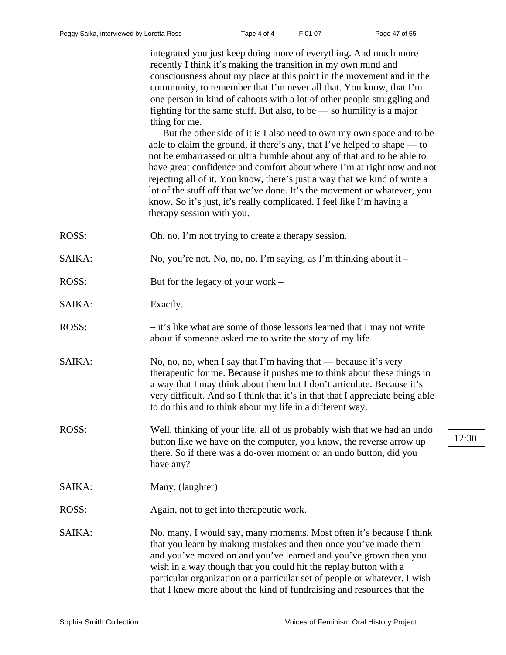integrated you just keep doing more of everything. And much more recently I think it's making the transition in my own mind and consciousness about my place at this point in the movement and in the community, to remember that I'm never all that. You know, that I'm one person in kind of cahoots with a lot of other people struggling and fighting for the same stuff. But also, to be  $-$  so humility is a major thing for me.

But the other side of it is I also need to own my own space and to be able to claim the ground, if there's any, that I've helped to shape — to not be embarrassed or ultra humble about any of that and to be able to have great confidence and comfort about where I'm at right now and not rejecting all of it. You know, there's just a way that we kind of write a lot of the stuff off that we've done. It's the movement or whatever, you know. So it's just, it's really complicated. I feel like I'm having a therapy session with you.

ROSS: Oh, no. I'm not trying to create a therapy session.

- SAIKA: No, you're not. No, no, no. I'm saying, as I'm thinking about it –
- ROSS: But for the legacy of your work –
- SAIKA: Exactly.
- ROSS: it's like what are some of those lessons learned that I may not write about if someone asked me to write the story of my life.
- SAIKA: No, no, no, when I say that I'm having that because it's very therapeutic for me. Because it pushes me to think about these things in a way that I may think about them but I don't articulate. Because it's very difficult. And so I think that it's in that that I appreciate being able to do this and to think about my life in a different way.
- ROSS: Well, thinking of your life, all of us probably wish that we had an undo button like we have on the computer, you know, the reverse arrow up there. So if there was a do-over moment or an undo button, did you have any?
- SAIKA: Many. (laughter)
- ROSS: Again, not to get into therapeutic work.
- SAIKA: No, many, I would say, many moments. Most often it's because I think that you learn by making mistakes and then once you've made them and you've moved on and you've learned and you've grown then you wish in a way though that you could hit the replay button with a particular organization or a particular set of people or whatever. I wish that I knew more about the kind of fundraising and resources that the

12:30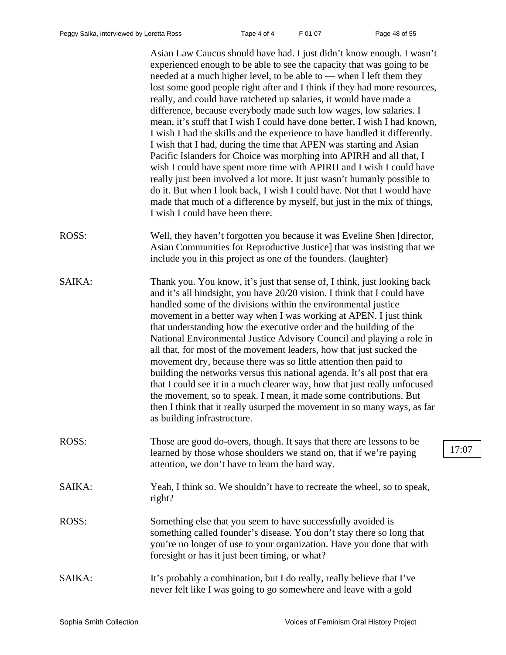Asian Law Caucus should have had. I just didn't know enough. I wasn't experienced enough to be able to see the capacity that was going to be needed at a much higher level, to be able to — when I left them they lost some good people right after and I think if they had more resources, really, and could have ratcheted up salaries, it would have made a difference, because everybody made such low wages, low salaries. I mean, it's stuff that I wish I could have done better, I wish I had known, I wish I had the skills and the experience to have handled it differently. I wish that I had, during the time that APEN was starting and Asian Pacific Islanders for Choice was morphing into APIRH and all that, I wish I could have spent more time with APIRH and I wish I could have really just been involved a lot more. It just wasn't humanly possible to do it. But when I look back, I wish I could have. Not that I would have made that much of a difference by myself, but just in the mix of things, I wish I could have been there.

- ROSS: Well, they haven't forgotten you because it was Eveline Shen [director, Asian Communities for Reproductive Justice] that was insisting that we include you in this project as one of the founders. (laughter)
- SAIKA: Thank you. You know, it's just that sense of, I think, just looking back and it's all hindsight, you have 20/20 vision. I think that I could have handled some of the divisions within the environmental justice movement in a better way when I was working at APEN. I just think that understanding how the executive order and the building of the National Environmental Justice Advisory Council and playing a role in all that, for most of the movement leaders, how that just sucked the movement dry, because there was so little attention then paid to building the networks versus this national agenda. It's all post that era that I could see it in a much clearer way, how that just really unfocused the movement, so to speak. I mean, it made some contributions. But then I think that it really usurped the movement in so many ways, as far as building infrastructure.
- ROSS: Those are good do-overs, though. It says that there are lessons to be learned by those whose shoulders we stand on, that if we're paying attention, we don't have to learn the hard way.
- SAIKA: Yeah, I think so. We shouldn't have to recreate the wheel, so to speak, right?
- ROSS: Something else that you seem to have successfully avoided is something called founder's disease. You don't stay there so long that you're no longer of use to your organization. Have you done that with foresight or has it just been timing, or what?
- SAIKA: It's probably a combination, but I do really, really believe that I've never felt like I was going to go somewhere and leave with a gold

17:07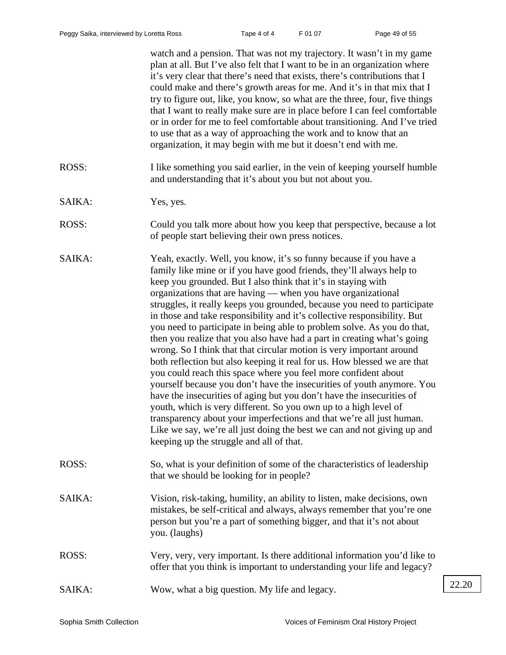|        | watch and a pension. That was not my trajectory. It wasn't in my game<br>plan at all. But I've also felt that I want to be in an organization where<br>it's very clear that there's need that exists, there's contributions that I<br>could make and there's growth areas for me. And it's in that mix that I<br>try to figure out, like, you know, so what are the three, four, five things<br>that I want to really make sure are in place before I can feel comfortable<br>or in order for me to feel comfortable about transitioning. And I've tried<br>to use that as a way of approaching the work and to know that an<br>organization, it may begin with me but it doesn't end with me.                                                                                                                                                                                                                                                                                                                                                                                                                                                                                                                                        |       |
|--------|---------------------------------------------------------------------------------------------------------------------------------------------------------------------------------------------------------------------------------------------------------------------------------------------------------------------------------------------------------------------------------------------------------------------------------------------------------------------------------------------------------------------------------------------------------------------------------------------------------------------------------------------------------------------------------------------------------------------------------------------------------------------------------------------------------------------------------------------------------------------------------------------------------------------------------------------------------------------------------------------------------------------------------------------------------------------------------------------------------------------------------------------------------------------------------------------------------------------------------------|-------|
| ROSS:  | I like something you said earlier, in the vein of keeping yourself humble<br>and understanding that it's about you but not about you.                                                                                                                                                                                                                                                                                                                                                                                                                                                                                                                                                                                                                                                                                                                                                                                                                                                                                                                                                                                                                                                                                                 |       |
| SAIKA: | Yes, yes.                                                                                                                                                                                                                                                                                                                                                                                                                                                                                                                                                                                                                                                                                                                                                                                                                                                                                                                                                                                                                                                                                                                                                                                                                             |       |
| ROSS:  | Could you talk more about how you keep that perspective, because a lot<br>of people start believing their own press notices.                                                                                                                                                                                                                                                                                                                                                                                                                                                                                                                                                                                                                                                                                                                                                                                                                                                                                                                                                                                                                                                                                                          |       |
| SAIKA: | Yeah, exactly. Well, you know, it's so funny because if you have a<br>family like mine or if you have good friends, they'll always help to<br>keep you grounded. But I also think that it's in staying with<br>organizations that are having — when you have organizational<br>struggles, it really keeps you grounded, because you need to participate<br>in those and take responsibility and it's collective responsibility. But<br>you need to participate in being able to problem solve. As you do that,<br>then you realize that you also have had a part in creating what's going<br>wrong. So I think that that circular motion is very important around<br>both reflection but also keeping it real for us. How blessed we are that<br>you could reach this space where you feel more confident about<br>yourself because you don't have the insecurities of youth anymore. You<br>have the insecurities of aging but you don't have the insecurities of<br>youth, which is very different. So you own up to a high level of<br>transparency about your imperfections and that we're all just human.<br>Like we say, we're all just doing the best we can and not giving up and<br>keeping up the struggle and all of that. |       |
| ROSS:  | So, what is your definition of some of the characteristics of leadership<br>that we should be looking for in people?                                                                                                                                                                                                                                                                                                                                                                                                                                                                                                                                                                                                                                                                                                                                                                                                                                                                                                                                                                                                                                                                                                                  |       |
| SAIKA: | Vision, risk-taking, humility, an ability to listen, make decisions, own<br>mistakes, be self-critical and always, always remember that you're one<br>person but you're a part of something bigger, and that it's not about<br>you. (laughs)                                                                                                                                                                                                                                                                                                                                                                                                                                                                                                                                                                                                                                                                                                                                                                                                                                                                                                                                                                                          |       |
| ROSS:  | Very, very, very important. Is there additional information you'd like to<br>offer that you think is important to understanding your life and legacy?                                                                                                                                                                                                                                                                                                                                                                                                                                                                                                                                                                                                                                                                                                                                                                                                                                                                                                                                                                                                                                                                                 |       |
| SAIKA: | Wow, what a big question. My life and legacy.                                                                                                                                                                                                                                                                                                                                                                                                                                                                                                                                                                                                                                                                                                                                                                                                                                                                                                                                                                                                                                                                                                                                                                                         | 22.20 |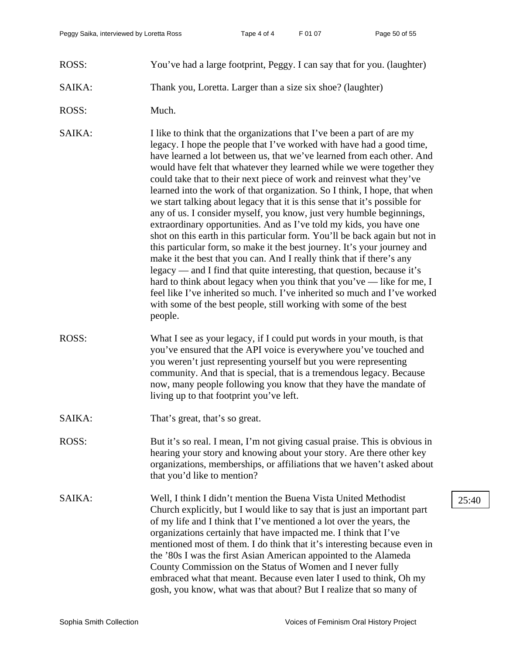- ROSS: You've had a large footprint, Peggy. I can say that for you. (laughter)
- SAIKA: Thank you, Loretta. Larger than a size six shoe? (laughter)
- ROSS: Much.

SAIKA: I like to think that the organizations that I've been a part of are my legacy. I hope the people that I've worked with have had a good time, have learned a lot between us, that we've learned from each other. And would have felt that whatever they learned while we were together they could take that to their next piece of work and reinvest what they've learned into the work of that organization. So I think, I hope, that when we start talking about legacy that it is this sense that it's possible for any of us. I consider myself, you know, just very humble beginnings, extraordinary opportunities. And as I've told my kids, you have one shot on this earth in this particular form. You'll be back again but not in this particular form, so make it the best journey. It's your journey and make it the best that you can. And I really think that if there's any legacy — and I find that quite interesting, that question, because it's hard to think about legacy when you think that you've — like for me, I feel like I've inherited so much. I've inherited so much and I've worked with some of the best people, still working with some of the best people.

- ROSS: What I see as your legacy, if I could put words in your mouth, is that you've ensured that the API voice is everywhere you've touched and you weren't just representing yourself but you were representing community. And that is special, that is a tremendous legacy. Because now, many people following you know that they have the mandate of living up to that footprint you've left.
- SAIKA: That's great, that's so great.
- ROSS: But it's so real. I mean, I'm not giving casual praise. This is obvious in hearing your story and knowing about your story. Are there other key organizations, memberships, or affiliations that we haven't asked about that you'd like to mention?
- SAIKA: Well, I think I didn't mention the Buena Vista United Methodist 25:40 Church explicitly, but I would like to say that is just an important part of my life and I think that I've mentioned a lot over the years, the organizations certainly that have impacted me. I think that I've mentioned most of them. I do think that it's interesting because even in the '80s I was the first Asian American appointed to the Alameda County Commission on the Status of Women and I never fully embraced what that meant. Because even later I used to think, Oh my gosh, you know, what was that about? But I realize that so many of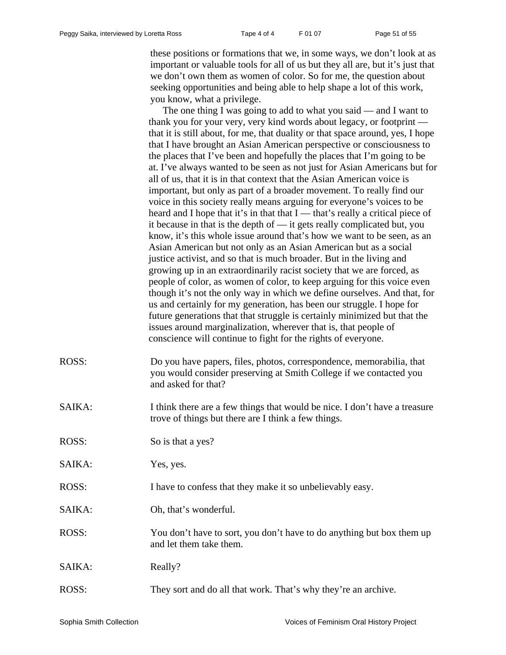these positions or formations that we, in some ways, we don't look at as important or valuable tools for all of us but they all are, but it's just that we don't own them as women of color. So for me, the question about seeking opportunities and being able to help shape a lot of this work, you know, what a privilege.

The one thing I was going to add to what you said — and I want to thank you for your very, very kind words about legacy, or footprint that it is still about, for me, that duality or that space around, yes, I hope that I have brought an Asian American perspective or consciousness to the places that I've been and hopefully the places that I'm going to be at. I've always wanted to be seen as not just for Asian Americans but for all of us, that it is in that context that the Asian American voice is important, but only as part of a broader movement. To really find our voice in this society really means arguing for everyone's voices to be heard and I hope that it's in that that  $I$  — that's really a critical piece of it because in that is the depth of — it gets really complicated but, you know, it's this whole issue around that's how we want to be seen, as an Asian American but not only as an Asian American but as a social justice activist, and so that is much broader. But in the living and growing up in an extraordinarily racist society that we are forced, as people of color, as women of color, to keep arguing for this voice even though it's not the only way in which we define ourselves. And that, for us and certainly for my generation, has been our struggle. I hope for future generations that that struggle is certainly minimized but that the issues around marginalization, wherever that is, that people of conscience will continue to fight for the rights of everyone.

- ROSS: Do you have papers, files, photos, correspondence, memorabilia, that you would consider preserving at Smith College if we contacted you and asked for that?
- SAIKA: I think there are a few things that would be nice. I don't have a treasure trove of things but there are I think a few things.
- ROSS: So is that a yes?
- SAIKA: Yes, yes.
- ROSS: I have to confess that they make it so unbelievably easy.
- SAIKA: Oh, that's wonderful.
- ROSS: You don't have to sort, you don't have to do anything but box them up and let them take them.
- SAIKA: Really?
- ROSS: They sort and do all that work. That's why they're an archive.